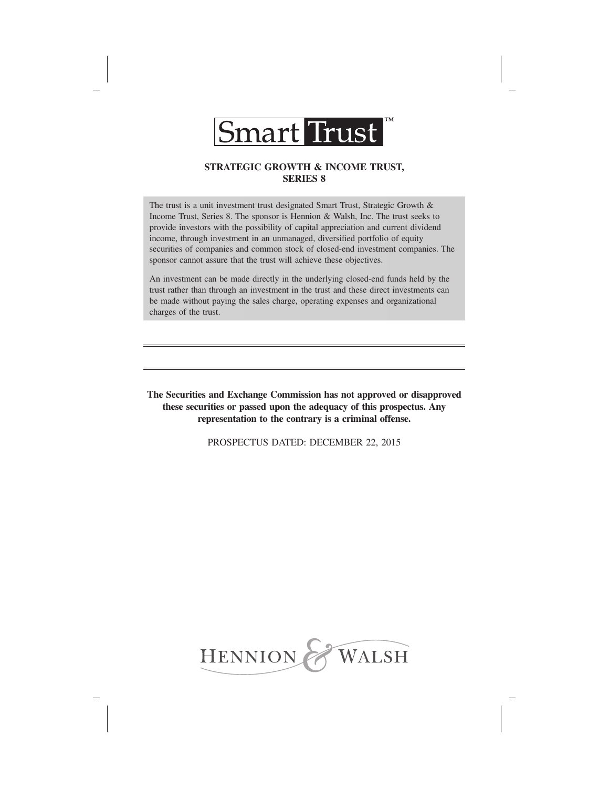

# **STRATEGIC GROWTH & INCOME TRUST, SERIES 8**

The trust is a unit investment trust designated Smart Trust, Strategic Growth & Income Trust, Series 8. The sponsor is Hennion & Walsh, Inc. The trust seeks to provide investors with the possibility of capital appreciation and current dividend income, through investment in an unmanaged, diversified portfolio of equity securities of companies and common stock of closed-end investment companies. The sponsor cannot assure that the trust will achieve these objectives.

An investment can be made directly in the underlying closed-end funds held by the trust rather than through an investment in the trust and these direct investments can be made without paying the sales charge, operating expenses and organizational charges of the trust.

**The Securities and Exchange Commission has not approved or disapproved these securities or passed upon the adequacy of this prospectus. Any representation to the contrary is a criminal offense.**

PROSPECTUS DATED: DECEMBER 22, 2015

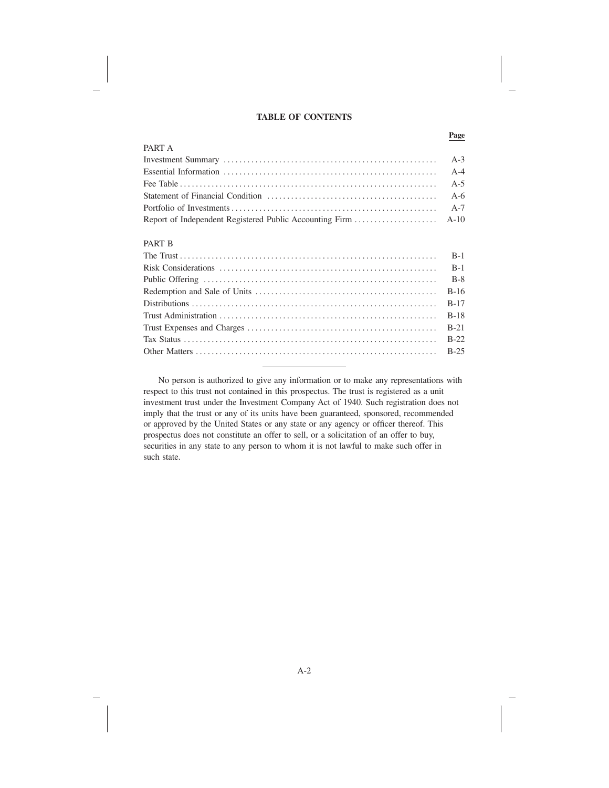### **TABLE OF CONTENTS**

**Page**

| PART A |  |
|--------|--|
|        |  |
|        |  |
|        |  |
|        |  |
|        |  |
|        |  |
|        |  |

# PART B

No person is authorized to give any information or to make any representations with respect to this trust not contained in this prospectus. The trust is registered as a unit investment trust under the Investment Company Act of 1940. Such registration does not imply that the trust or any of its units have been guaranteed, sponsored, recommended or approved by the United States or any state or any agency or officer thereof. This prospectus does not constitute an offer to sell, or a solicitation of an offer to buy, securities in any state to any person to whom it is not lawful to make such offer in such state.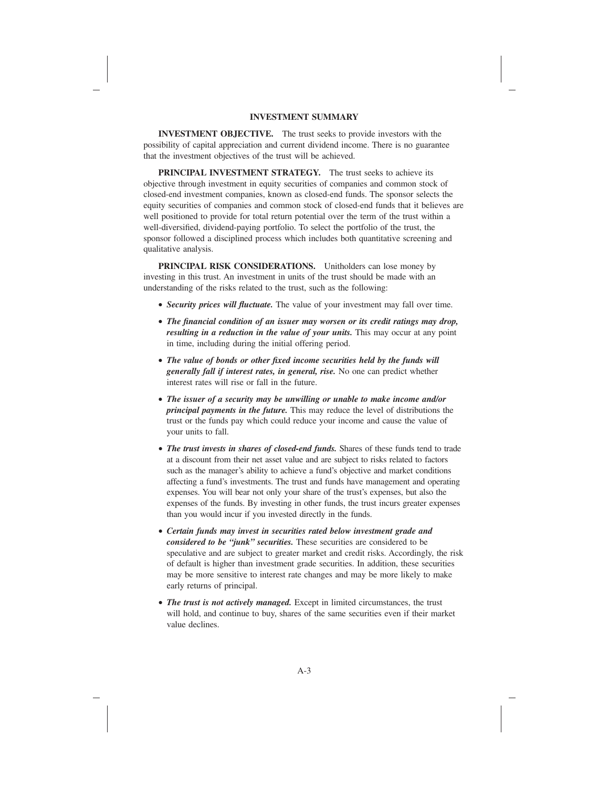## **INVESTMENT SUMMARY**

**INVESTMENT OBJECTIVE.** The trust seeks to provide investors with the possibility of capital appreciation and current dividend income. There is no guarantee that the investment objectives of the trust will be achieved.

**PRINCIPAL INVESTMENT STRATEGY.** The trust seeks to achieve its objective through investment in equity securities of companies and common stock of closed-end investment companies, known as closed-end funds. The sponsor selects the equity securities of companies and common stock of closed-end funds that it believes are well positioned to provide for total return potential over the term of the trust within a well-diversified, dividend-paying portfolio. To select the portfolio of the trust, the sponsor followed a disciplined process which includes both quantitative screening and qualitative analysis.

**PRINCIPAL RISK CONSIDERATIONS.** Unitholders can lose money by investing in this trust. An investment in units of the trust should be made with an understanding of the risks related to the trust, such as the following:

- *Security prices will fluctuate.* The value of your investment may fall over time.
- *The financial condition of an issuer may worsen or its credit ratings may drop, resulting in a reduction in the value of your units.* This may occur at any point in time, including during the initial offering period.
- *The value of bonds or other fixed income securities held by the funds will generally fall if interest rates, in general, rise.* No one can predict whether interest rates will rise or fall in the future.
- *The issuer of a security may be unwilling or unable to make income and/or principal payments in the future.* This may reduce the level of distributions the trust or the funds pay which could reduce your income and cause the value of your units to fall.
- *The trust invests in shares of closed-end funds.* Shares of these funds tend to trade at a discount from their net asset value and are subject to risks related to factors such as the manager's ability to achieve a fund's objective and market conditions affecting a fund's investments. The trust and funds have management and operating expenses. You will bear not only your share of the trust's expenses, but also the expenses of the funds. By investing in other funds, the trust incurs greater expenses than you would incur if you invested directly in the funds.
- *Certain funds may invest in securities rated below investment grade and considered to be "junk" securities.* These securities are considered to be speculative and are subject to greater market and credit risks. Accordingly, the risk of default is higher than investment grade securities. In addition, these securities may be more sensitive to interest rate changes and may be more likely to make early returns of principal.
- *The trust is not actively managed.* Except in limited circumstances, the trust will hold, and continue to buy, shares of the same securities even if their market value declines.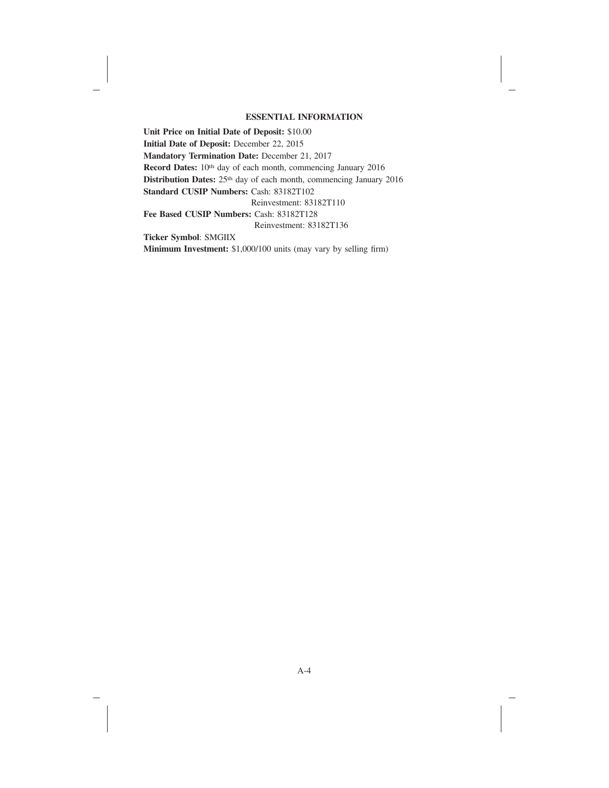### **ESSENTIAL INFORMATION**

**Unit Price on Initial Date of Deposit:** \$10.00 **Initial Date of Deposit:** December 22, 2015 **Mandatory Termination Date:** December 21, 2017 Record Dates: 10<sup>th</sup> day of each month, commencing January 2016 **Distribution Dates:** 25th day of each month, commencing January 2016 **Standard CUSIP Numbers:** Cash: 83182T102 Reinvestment: 83182T110 **Fee Based CUSIP Numbers:** Cash: 83182T128 Reinvestment: 83182T136 **Ticker Symbol**: SMGIIX

**Minimum Investment:** \$1,000/100 units (may vary by selling firm)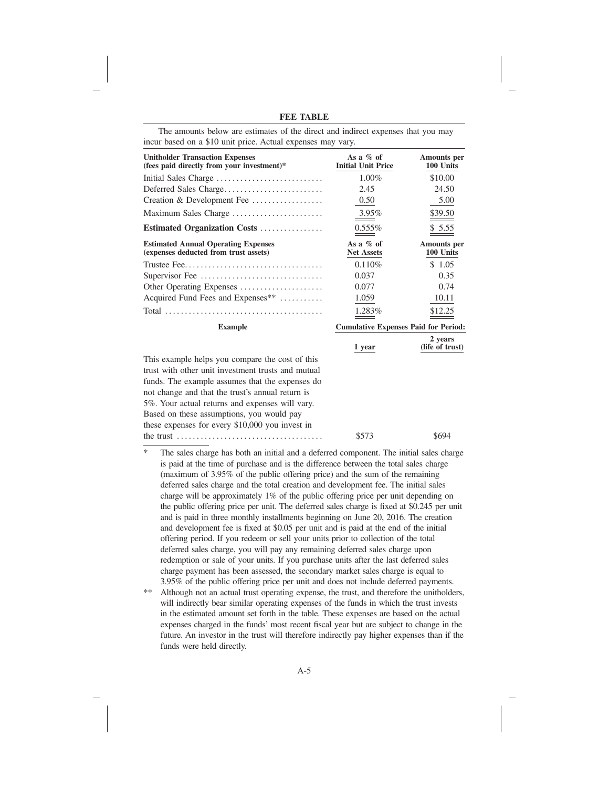| <b>Unitholder Transaction Expenses</b><br>(fees paid directly from your investment)* | As a $\%$ of<br><b>Initial Unit Price</b>   | <b>Amounts</b> per<br>100 Units |
|--------------------------------------------------------------------------------------|---------------------------------------------|---------------------------------|
| Initial Sales Charge                                                                 | $1.00\%$                                    | \$10.00                         |
| Deferred Sales Charge                                                                | 2.45                                        | 24.50                           |
| Creation & Development Fee                                                           | 0.50                                        | 5.00                            |
| Maximum Sales Charge                                                                 | $3.95\%$                                    | \$39.50                         |
| Estimated Organization Costs                                                         | $0.555\%$                                   | \$5.55                          |
| <b>Estimated Annual Operating Expenses</b><br>(expenses deducted from trust assets)  | As a $\%$ of<br><b>Net Assets</b>           | <b>Amounts</b> per<br>100 Units |
|                                                                                      | 0.110%                                      | \$1.05                          |
| Supervisor Fee                                                                       | 0.037                                       | 0.35                            |
| Other Operating Expenses                                                             | 0.077                                       | 0.74                            |
| Acquired Fund Fees and Expenses**                                                    | 1.059                                       | 10.11                           |
|                                                                                      | 1.283%                                      | \$12.25                         |
| <b>Example</b>                                                                       | <b>Cumulative Expenses Paid for Period:</b> |                                 |
|                                                                                      | 1 year                                      | 2 years<br>(life of trust)      |
| This example helps you compare the cost of this                                      |                                             |                                 |
| trust with other unit investment trusts and mutual                                   |                                             |                                 |
| funds. The example assumes that the expenses do                                      |                                             |                                 |
| not change and that the trust's annual return is                                     |                                             |                                 |
| 5%. Your actual returns and expenses will vary.                                      |                                             |                                 |
| Based on these assumptions, you would pay                                            |                                             |                                 |
| these expenses for every $$10,000$ you invest in                                     |                                             |                                 |
| the trust $\dots \dots \dots \dots \dots \dots \dots \dots \dots \dots \dots \dots$  | \$573                                       | \$694                           |

The amounts below are estimates of the direct and indirect expenses that you may incur based on a \$10 unit price. Actual expenses may vary.

\* The sales charge has both an initial and a deferred component. The initial sales charge is paid at the time of purchase and is the difference between the total sales charge (maximum of 3.95% of the public offering price) and the sum of the remaining deferred sales charge and the total creation and development fee. The initial sales charge will be approximately 1% of the public offering price per unit depending on the public offering price per unit. The deferred sales charge is fixed at \$0.245 per unit and is paid in three monthly installments beginning on June 20, 2016. The creation and development fee is fixed at \$0.05 per unit and is paid at the end of the initial offering period. If you redeem or sell your units prior to collection of the total deferred sales charge, you will pay any remaining deferred sales charge upon redemption or sale of your units. If you purchase units after the last deferred sales charge payment has been assessed, the secondary market sales charge is equal to 3.95% of the public offering price per unit and does not include deferred payments. \*\* Although not an actual trust operating expense, the trust, and therefore the unitholders, will indirectly bear similar operating expenses of the funds in which the trust invests in the estimated amount set forth in the table. These expenses are based on the actual expenses charged in the funds' most recent fiscal year but are subject to change in the

funds were held directly.

future. An investor in the trust will therefore indirectly pay higher expenses than if the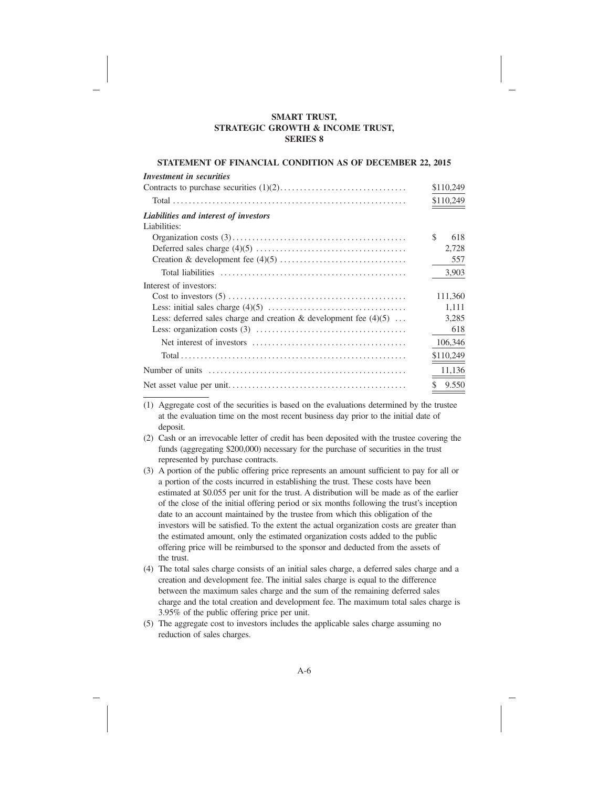## **SMART TRUST, STRATEGIC GROWTH & INCOME TRUST, SERIES 8**

## **STATEMENT OF FINANCIAL CONDITION AS OF DECEMBER 22, 2015**

| Investment in securities                                            |             |
|---------------------------------------------------------------------|-------------|
|                                                                     | \$110,249   |
|                                                                     | \$110,249   |
| Liabilities and interest of investors                               |             |
| Liabilities:                                                        |             |
|                                                                     | \$.<br>618  |
|                                                                     | 2,728       |
|                                                                     | 557         |
|                                                                     | 3,903       |
| Interest of investors:                                              |             |
|                                                                     | 111,360     |
|                                                                     | 1,111       |
| Less: deferred sales charge and creation & development fee $(4)(5)$ | 3,285       |
|                                                                     | 618         |
|                                                                     | 106,346     |
|                                                                     | \$110,249   |
|                                                                     | 11,136      |
|                                                                     | \$<br>9.550 |

(1) Aggregate cost of the securities is based on the evaluations determined by the trustee at the evaluation time on the most recent business day prior to the initial date of deposit.

- (2) Cash or an irrevocable letter of credit has been deposited with the trustee covering the funds (aggregating \$200,000) necessary for the purchase of securities in the trust represented by purchase contracts.
- (3) A portion of the public offering price represents an amount sufficient to pay for all or a portion of the costs incurred in establishing the trust. These costs have been estimated at \$0.055 per unit for the trust. A distribution will be made as of the earlier of the close of the initial offering period or six months following the trust's inception date to an account maintained by the trustee from which this obligation of the investors will be satisfied. To the extent the actual organization costs are greater than the estimated amount, only the estimated organization costs added to the public offering price will be reimbursed to the sponsor and deducted from the assets of the trust.
- (4) The total sales charge consists of an initial sales charge, a deferred sales charge and a creation and development fee. The initial sales charge is equal to the difference between the maximum sales charge and the sum of the remaining deferred sales charge and the total creation and development fee. The maximum total sales charge is 3.95% of the public offering price per unit.
- (5) The aggregate cost to investors includes the applicable sales charge assuming no reduction of sales charges.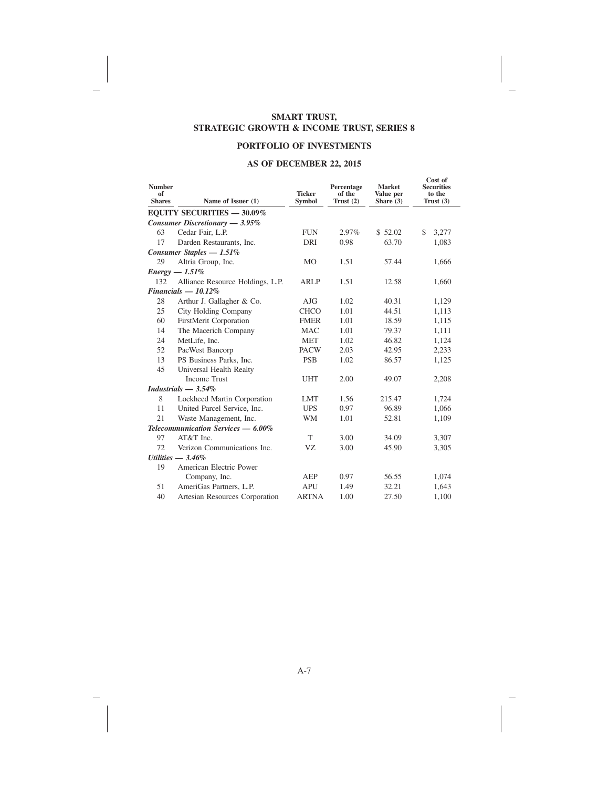## **SMART TRUST, STRATEGIC GROWTH & INCOME TRUST, SERIES 8**

## **PORTFOLIO OF INVESTMENTS**

# **AS OF DECEMBER 22, 2015**

| <b>Number</b><br>of<br><b>Shares</b> | Name of Issuer (1)                 | <b>Ticker</b><br><b>Symbol</b> | Percentage<br>of the<br>Trust $(2)$ | <b>Market</b><br>Value per<br>Share $(3)$ | Cost of<br><b>Securities</b><br>to the<br>Trust $(3)$ |
|--------------------------------------|------------------------------------|--------------------------------|-------------------------------------|-------------------------------------------|-------------------------------------------------------|
|                                      | <b>EQUITY SECURITIES - 30.09%</b>  |                                |                                     |                                           |                                                       |
|                                      | Consumer Discretionary - 3.95%     |                                |                                     |                                           |                                                       |
| 63                                   | Cedar Fair, L.P.                   | <b>FUN</b>                     | 2.97%                               | \$52.02                                   | \$<br>3,277                                           |
| 17                                   | Darden Restaurants, Inc.           | DRI                            | 0.98                                | 63.70                                     | 1,083                                                 |
|                                      | Consumer Staples $-1.51\%$         |                                |                                     |                                           |                                                       |
| 29                                   | Altria Group, Inc.                 | MO                             | 1.51                                | 57.44                                     | 1,666                                                 |
|                                      | $Energy - 1.51\%$                  |                                |                                     |                                           |                                                       |
| 132                                  | Alliance Resource Holdings, L.P.   | <b>ARLP</b>                    | 1.51                                | 12.58                                     | 1,660                                                 |
|                                      | $Financials - 10.12\%$             |                                |                                     |                                           |                                                       |
| 28                                   | Arthur J. Gallagher & Co.          | A <sub>J</sub> G               | 1.02                                | 40.31                                     | 1,129                                                 |
| 25                                   | City Holding Company               | <b>CHCO</b>                    | 1.01                                | 44.51                                     | 1,113                                                 |
| 60                                   | FirstMerit Corporation             | <b>FMER</b>                    | 1.01                                | 18.59                                     | 1,115                                                 |
| 14                                   | The Macerich Company               | <b>MAC</b>                     | 1.01                                | 79.37                                     | 1,111                                                 |
| 24                                   | MetLife, Inc.                      | <b>MET</b>                     | 1.02                                | 46.82                                     | 1,124                                                 |
| 52                                   | PacWest Bancorp                    | <b>PACW</b>                    | 2.03                                | 42.95                                     | 2,233                                                 |
| 13                                   | PS Business Parks, Inc.            | <b>PSB</b>                     | 1.02                                | 86.57                                     | 1,125                                                 |
| 45                                   | Universal Health Realty            |                                |                                     |                                           |                                                       |
|                                      | <b>Income Trust</b>                | <b>UHT</b>                     | 2.00                                | 49.07                                     | 2,208                                                 |
|                                      | Industrials $-3.54\%$              |                                |                                     |                                           |                                                       |
| 8                                    | Lockheed Martin Corporation        | <b>LMT</b>                     | 1.56                                | 215.47                                    | 1,724                                                 |
| 11                                   | United Parcel Service, Inc.        | <b>UPS</b>                     | 0.97                                | 96.89                                     | 1,066                                                 |
| 21                                   | Waste Management, Inc.             | <b>WM</b>                      | 1.01                                | 52.81                                     | 1,109                                                 |
|                                      | Telecommunication Services - 6.00% |                                |                                     |                                           |                                                       |
| 97                                   | AT&T Inc.                          | T                              | 3.00                                | 34.09                                     | 3,307                                                 |
| 72                                   | Verizon Communications Inc.        | VZ                             | 3.00                                | 45.90                                     | 3,305                                                 |
|                                      | Utilities $-3.46\%$                |                                |                                     |                                           |                                                       |
| 19                                   | American Electric Power            |                                |                                     |                                           |                                                       |
|                                      | Company, Inc.                      | <b>AEP</b>                     | 0.97                                | 56.55                                     | 1,074                                                 |
| 51                                   | AmeriGas Partners, L.P.            | <b>APU</b>                     | 1.49                                | 32.21                                     | 1,643                                                 |
| 40                                   | Artesian Resources Corporation     | <b>ARTNA</b>                   | 1.00                                | 27.50                                     | 1.100                                                 |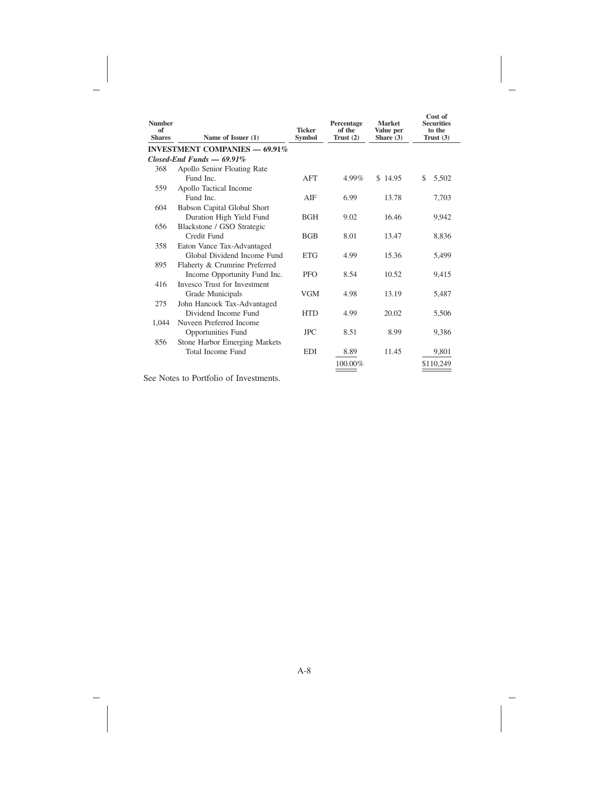| <b>Number</b><br>of<br><b>Shares</b> | Name of Issuer (1)                   | <b>Ticker</b><br>Symbol | Percentage<br>of the<br>Trust $(2)$ | <b>Market</b><br>Value per<br>Share $(3)$ | Cost of<br><b>Securities</b><br>to the<br>Trust $(3)$ |
|--------------------------------------|--------------------------------------|-------------------------|-------------------------------------|-------------------------------------------|-------------------------------------------------------|
|                                      | <b>INVESTMENT COMPANIES - 69.91%</b> |                         |                                     |                                           |                                                       |
|                                      | $Closed$ -End Funds $-$ 69.91%       |                         |                                     |                                           |                                                       |
| 368                                  | Apollo Senior Floating Rate          |                         |                                     |                                           |                                                       |
|                                      | Fund Inc.                            | AFT                     | 4.99%                               | \$14.95                                   | \$<br>5,502                                           |
| 559                                  | Apollo Tactical Income               |                         |                                     |                                           |                                                       |
|                                      | Fund Inc.                            | AIF                     | 6.99                                | 13.78                                     | 7,703                                                 |
| 604                                  | Babson Capital Global Short          |                         |                                     |                                           |                                                       |
|                                      | Duration High Yield Fund             | <b>BGH</b>              | 9.02                                | 16.46                                     | 9.942                                                 |
| 656                                  | Blackstone / GSO Strategic           |                         |                                     |                                           |                                                       |
|                                      | Credit Fund                          | <b>BGB</b>              | 8.01                                | 13.47                                     | 8,836                                                 |
| 358                                  | Eaton Vance Tax-Advantaged           |                         |                                     |                                           |                                                       |
|                                      | Global Dividend Income Fund          | <b>ETG</b>              | 4.99                                | 15.36                                     | 5,499                                                 |
| 895                                  | Flaherty & Crumrine Preferred        |                         |                                     |                                           |                                                       |
|                                      | Income Opportunity Fund Inc.         | <b>PFO</b>              | 8.54                                | 10.52                                     | 9,415                                                 |
| 416                                  | <b>Invesco Trust for Investment</b>  |                         |                                     |                                           |                                                       |
|                                      | Grade Municipals                     | <b>VGM</b>              | 4.98                                | 13.19                                     | 5,487                                                 |
| 275                                  | John Hancock Tax-Advantaged          |                         |                                     |                                           |                                                       |
|                                      | Dividend Income Fund                 | <b>HTD</b>              | 4.99                                | 20.02                                     | 5,506                                                 |
| 1,044                                | Nuveen Preferred Income              |                         |                                     |                                           |                                                       |
|                                      | <b>Opportunities Fund</b>            | <b>JPC</b>              | 8.51                                | 8.99                                      | 9,386                                                 |
| 856                                  | Stone Harbor Emerging Markets        |                         |                                     |                                           |                                                       |
|                                      | <b>Total Income Fund</b>             | <b>EDI</b>              | 8.89                                | 11.45                                     | 9,801                                                 |
|                                      |                                      |                         | 100.00%                             |                                           | \$110,249                                             |
|                                      |                                      |                         |                                     |                                           |                                                       |

See Notes to Portfolio of Investments.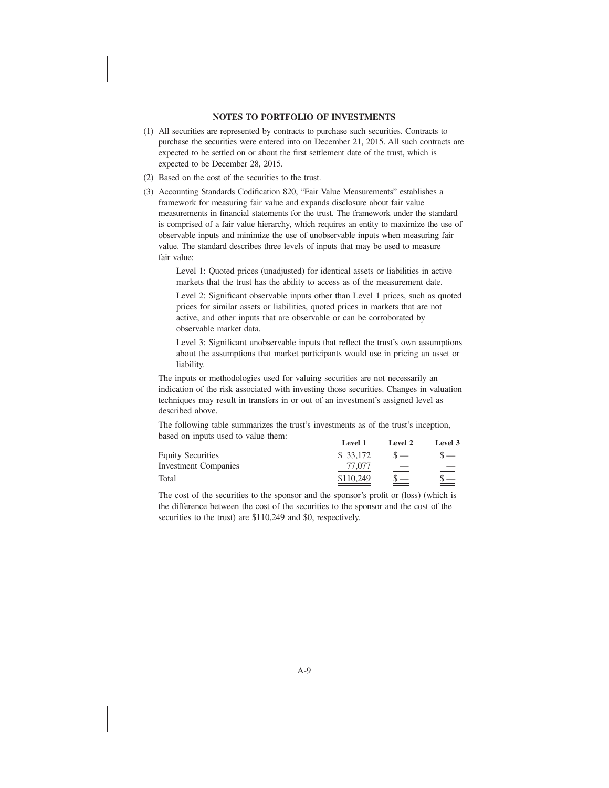## **NOTES TO PORTFOLIO OF INVESTMENTS**

- (1) All securities are represented by contracts to purchase such securities. Contracts to purchase the securities were entered into on December 21, 2015. All such contracts are expected to be settled on or about the first settlement date of the trust, which is expected to be December 28, 2015.
- (2) Based on the cost of the securities to the trust.
- (3) Accounting Standards Codification 820, "Fair Value Measurements" establishes a framework for measuring fair value and expands disclosure about fair value measurements in financial statements for the trust. The framework under the standard is comprised of a fair value hierarchy, which requires an entity to maximize the use of observable inputs and minimize the use of unobservable inputs when measuring fair value. The standard describes three levels of inputs that may be used to measure fair value:

Level 1: Quoted prices (unadjusted) for identical assets or liabilities in active markets that the trust has the ability to access as of the measurement date.

Level 2: Significant observable inputs other than Level 1 prices, such as quoted prices for similar assets or liabilities, quoted prices in markets that are not active, and other inputs that are observable or can be corroborated by observable market data.

Level 3: Significant unobservable inputs that reflect the trust's own assumptions about the assumptions that market participants would use in pricing an asset or liability.

The inputs or methodologies used for valuing securities are not necessarily an indication of the risk associated with investing those securities. Changes in valuation techniques may result in transfers in or out of an investment's assigned level as described above.

The following table summarizes the trust's investments as of the trust's inception, based on inputs used to value them:

|                             | Level 1   | Level 2 | Level 3  |
|-----------------------------|-----------|---------|----------|
| <b>Equity Securities</b>    | \$ 33,172 |         |          |
| <b>Investment Companies</b> | 77.077    |         |          |
| Total                       | \$110,249 |         | $\equiv$ |

The cost of the securities to the sponsor and the sponsor's profit or (loss) (which is the difference between the cost of the securities to the sponsor and the cost of the securities to the trust) are \$110,249 and \$0, respectively.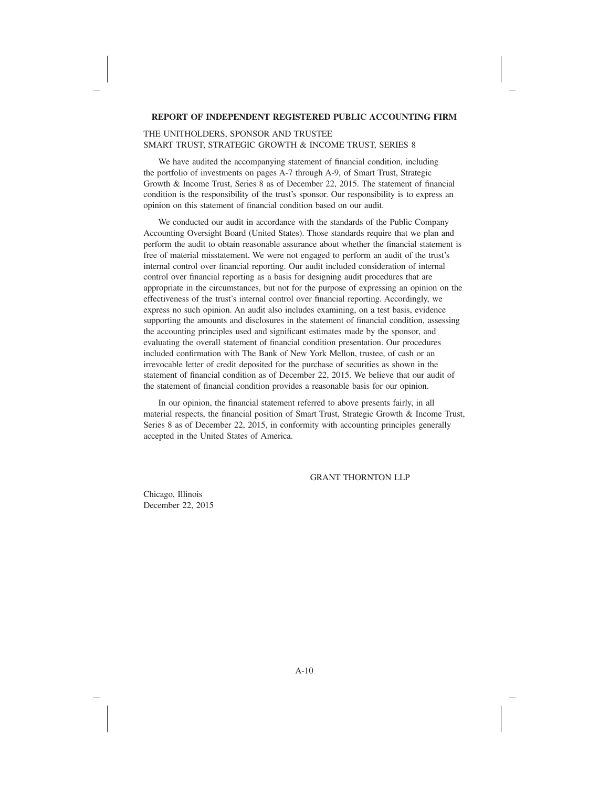### **REPORT OF INDEPENDENT REGISTERED PUBLIC ACCOUNTING FIRM**

### THE UNITHOLDERS, SPONSOR AND TRUSTEE SMART TRUST, STRATEGIC GROWTH & INCOME TRUST, SERIES 8

We have audited the accompanying statement of financial condition, including the portfolio of investments on pages A-7 through A-9, of Smart Trust, Strategic Growth & Income Trust, Series 8 as of December 22, 2015. The statement of financial condition is the responsibility of the trust's sponsor. Our responsibility is to express an opinion on this statement of financial condition based on our audit.

We conducted our audit in accordance with the standards of the Public Company Accounting Oversight Board (United States). Those standards require that we plan and perform the audit to obtain reasonable assurance about whether the financial statement is free of material misstatement. We were not engaged to perform an audit of the trust's internal control over financial reporting. Our audit included consideration of internal control over financial reporting as a basis for designing audit procedures that are appropriate in the circumstances, but not for the purpose of expressing an opinion on the effectiveness of the trust's internal control over financial reporting. Accordingly, we express no such opinion. An audit also includes examining, on a test basis, evidence supporting the amounts and disclosures in the statement of financial condition, assessing the accounting principles used and significant estimates made by the sponsor, and evaluating the overall statement of financial condition presentation. Our procedures included confirmation with The Bank of New York Mellon, trustee, of cash or an irrevocable letter of credit deposited for the purchase of securities as shown in the statement of financial condition as of December 22, 2015. We believe that our audit of the statement of financial condition provides a reasonable basis for our opinion.

In our opinion, the financial statement referred to above presents fairly, in all material respects, the financial position of Smart Trust, Strategic Growth & Income Trust, Series 8 as of December 22, 2015, in conformity with accounting principles generally accepted in the United States of America.

### GRANT THORNTON LLP

Chicago, Illinois December 22, 2015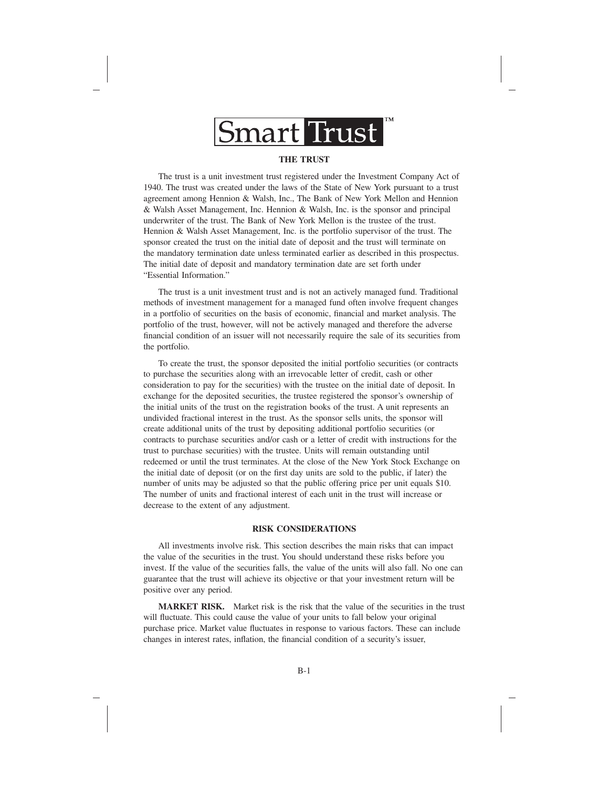

### **THE TRUST**

The trust is a unit investment trust registered under the Investment Company Act of 1940. The trust was created under the laws of the State of New York pursuant to a trust agreement among Hennion & Walsh, Inc., The Bank of New York Mellon and Hennion & Walsh Asset Management, Inc. Hennion & Walsh, Inc. is the sponsor and principal underwriter of the trust. The Bank of New York Mellon is the trustee of the trust. Hennion & Walsh Asset Management, Inc. is the portfolio supervisor of the trust. The sponsor created the trust on the initial date of deposit and the trust will terminate on the mandatory termination date unless terminated earlier as described in this prospectus. The initial date of deposit and mandatory termination date are set forth under "Essential Information."

The trust is a unit investment trust and is not an actively managed fund. Traditional methods of investment management for a managed fund often involve frequent changes in a portfolio of securities on the basis of economic, financial and market analysis. The portfolio of the trust, however, will not be actively managed and therefore the adverse financial condition of an issuer will not necessarily require the sale of its securities from the portfolio.

To create the trust, the sponsor deposited the initial portfolio securities (or contracts to purchase the securities along with an irrevocable letter of credit, cash or other consideration to pay for the securities) with the trustee on the initial date of deposit. In exchange for the deposited securities, the trustee registered the sponsor's ownership of the initial units of the trust on the registration books of the trust. A unit represents an undivided fractional interest in the trust. As the sponsor sells units, the sponsor will create additional units of the trust by depositing additional portfolio securities (or contracts to purchase securities and/or cash or a letter of credit with instructions for the trust to purchase securities) with the trustee. Units will remain outstanding until redeemed or until the trust terminates. At the close of the New York Stock Exchange on the initial date of deposit (or on the first day units are sold to the public, if later) the number of units may be adjusted so that the public offering price per unit equals \$10. The number of units and fractional interest of each unit in the trust will increase or decrease to the extent of any adjustment.

#### **RISK CONSIDERATIONS**

All investments involve risk. This section describes the main risks that can impact the value of the securities in the trust. You should understand these risks before you invest. If the value of the securities falls, the value of the units will also fall. No one can guarantee that the trust will achieve its objective or that your investment return will be positive over any period.

**MARKET RISK.** Market risk is the risk that the value of the securities in the trust will fluctuate. This could cause the value of your units to fall below your original purchase price. Market value fluctuates in response to various factors. These can include changes in interest rates, inflation, the financial condition of a security's issuer,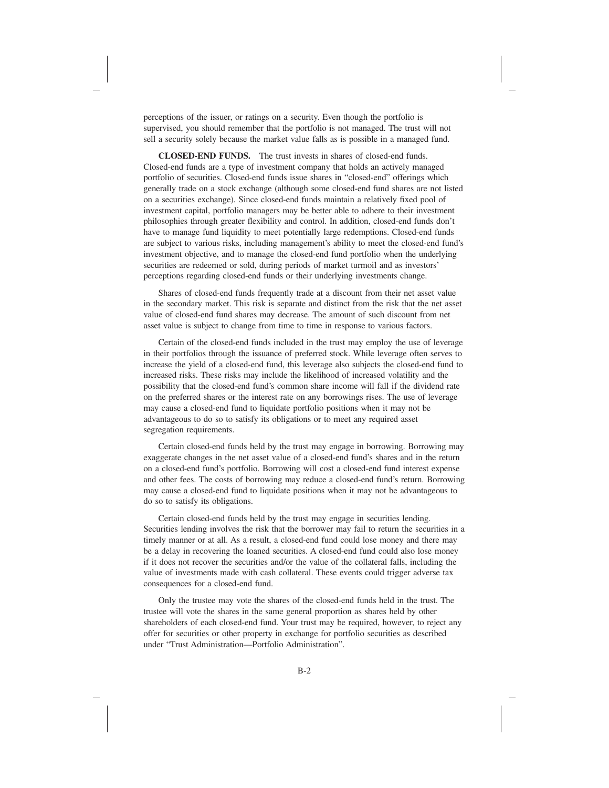perceptions of the issuer, or ratings on a security. Even though the portfolio is supervised, you should remember that the portfolio is not managed. The trust will not sell a security solely because the market value falls as is possible in a managed fund.

**CLOSED-END FUNDS.** The trust invests in shares of closed-end funds. Closed-end funds are a type of investment company that holds an actively managed portfolio of securities. Closed-end funds issue shares in "closed-end" offerings which generally trade on a stock exchange (although some closed-end fund shares are not listed on a securities exchange). Since closed-end funds maintain a relatively fixed pool of investment capital, portfolio managers may be better able to adhere to their investment philosophies through greater flexibility and control. In addition, closed-end funds don't have to manage fund liquidity to meet potentially large redemptions. Closed-end funds are subject to various risks, including management's ability to meet the closed-end fund's investment objective, and to manage the closed-end fund portfolio when the underlying securities are redeemed or sold, during periods of market turmoil and as investors' perceptions regarding closed-end funds or their underlying investments change.

Shares of closed-end funds frequently trade at a discount from their net asset value in the secondary market. This risk is separate and distinct from the risk that the net asset value of closed-end fund shares may decrease. The amount of such discount from net asset value is subject to change from time to time in response to various factors.

Certain of the closed-end funds included in the trust may employ the use of leverage in their portfolios through the issuance of preferred stock. While leverage often serves to increase the yield of a closed-end fund, this leverage also subjects the closed-end fund to increased risks. These risks may include the likelihood of increased volatility and the possibility that the closed-end fund's common share income will fall if the dividend rate on the preferred shares or the interest rate on any borrowings rises. The use of leverage may cause a closed-end fund to liquidate portfolio positions when it may not be advantageous to do so to satisfy its obligations or to meet any required asset segregation requirements.

Certain closed-end funds held by the trust may engage in borrowing. Borrowing may exaggerate changes in the net asset value of a closed-end fund's shares and in the return on a closed-end fund's portfolio. Borrowing will cost a closed-end fund interest expense and other fees. The costs of borrowing may reduce a closed-end fund's return. Borrowing may cause a closed-end fund to liquidate positions when it may not be advantageous to do so to satisfy its obligations.

Certain closed-end funds held by the trust may engage in securities lending. Securities lending involves the risk that the borrower may fail to return the securities in a timely manner or at all. As a result, a closed-end fund could lose money and there may be a delay in recovering the loaned securities. A closed-end fund could also lose money if it does not recover the securities and/or the value of the collateral falls, including the value of investments made with cash collateral. These events could trigger adverse tax consequences for a closed-end fund.

Only the trustee may vote the shares of the closed-end funds held in the trust. The trustee will vote the shares in the same general proportion as shares held by other shareholders of each closed-end fund. Your trust may be required, however, to reject any offer for securities or other property in exchange for portfolio securities as described under "Trust Administration—Portfolio Administration".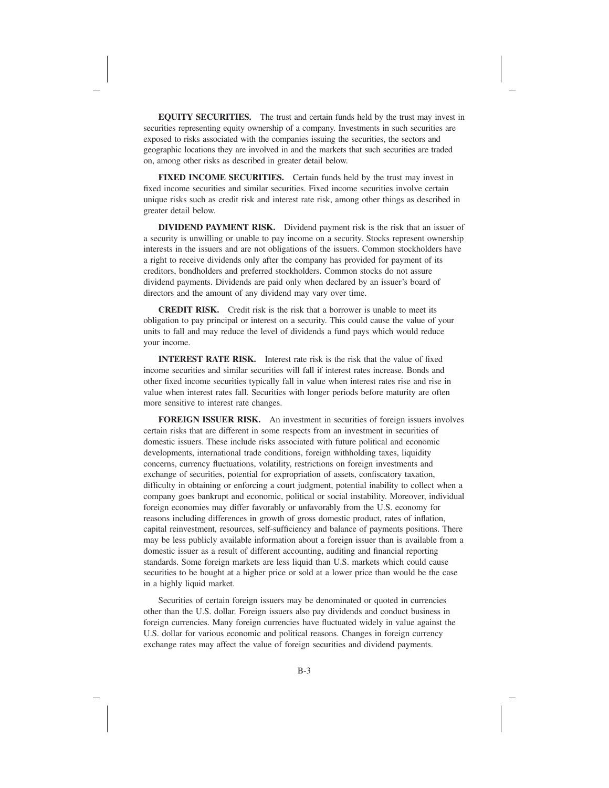**EQUITY SECURITIES.** The trust and certain funds held by the trust may invest in securities representing equity ownership of a company. Investments in such securities are exposed to risks associated with the companies issuing the securities, the sectors and geographic locations they are involved in and the markets that such securities are traded on, among other risks as described in greater detail below.

FIXED INCOME SECURITIES. Certain funds held by the trust may invest in fixed income securities and similar securities. Fixed income securities involve certain unique risks such as credit risk and interest rate risk, among other things as described in greater detail below.

**DIVIDEND PAYMENT RISK.** Dividend payment risk is the risk that an issuer of a security is unwilling or unable to pay income on a security. Stocks represent ownership interests in the issuers and are not obligations of the issuers. Common stockholders have a right to receive dividends only after the company has provided for payment of its creditors, bondholders and preferred stockholders. Common stocks do not assure dividend payments. Dividends are paid only when declared by an issuer's board of directors and the amount of any dividend may vary over time.

**CREDIT RISK.** Credit risk is the risk that a borrower is unable to meet its obligation to pay principal or interest on a security. This could cause the value of your units to fall and may reduce the level of dividends a fund pays which would reduce your income.

**INTEREST RATE RISK.** Interest rate risk is the risk that the value of fixed income securities and similar securities will fall if interest rates increase. Bonds and other fixed income securities typically fall in value when interest rates rise and rise in value when interest rates fall. Securities with longer periods before maturity are often more sensitive to interest rate changes.

**FOREIGN ISSUER RISK.** An investment in securities of foreign issuers involves certain risks that are different in some respects from an investment in securities of domestic issuers. These include risks associated with future political and economic developments, international trade conditions, foreign withholding taxes, liquidity concerns, currency fluctuations, volatility, restrictions on foreign investments and exchange of securities, potential for expropriation of assets, confiscatory taxation, difficulty in obtaining or enforcing a court judgment, potential inability to collect when a company goes bankrupt and economic, political or social instability. Moreover, individual foreign economies may differ favorably or unfavorably from the U.S. economy for reasons including differences in growth of gross domestic product, rates of inflation, capital reinvestment, resources, self-sufficiency and balance of payments positions. There may be less publicly available information about a foreign issuer than is available from a domestic issuer as a result of different accounting, auditing and financial reporting standards. Some foreign markets are less liquid than U.S. markets which could cause securities to be bought at a higher price or sold at a lower price than would be the case in a highly liquid market.

Securities of certain foreign issuers may be denominated or quoted in currencies other than the U.S. dollar. Foreign issuers also pay dividends and conduct business in foreign currencies. Many foreign currencies have fluctuated widely in value against the U.S. dollar for various economic and political reasons. Changes in foreign currency exchange rates may affect the value of foreign securities and dividend payments.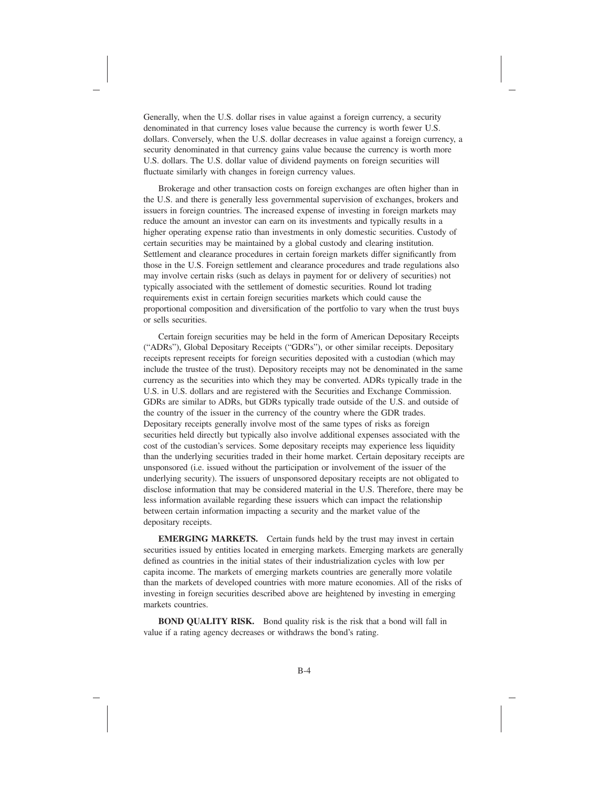Generally, when the U.S. dollar rises in value against a foreign currency, a security denominated in that currency loses value because the currency is worth fewer U.S. dollars. Conversely, when the U.S. dollar decreases in value against a foreign currency, a security denominated in that currency gains value because the currency is worth more U.S. dollars. The U.S. dollar value of dividend payments on foreign securities will fluctuate similarly with changes in foreign currency values.

Brokerage and other transaction costs on foreign exchanges are often higher than in the U.S. and there is generally less governmental supervision of exchanges, brokers and issuers in foreign countries. The increased expense of investing in foreign markets may reduce the amount an investor can earn on its investments and typically results in a higher operating expense ratio than investments in only domestic securities. Custody of certain securities may be maintained by a global custody and clearing institution. Settlement and clearance procedures in certain foreign markets differ significantly from those in the U.S. Foreign settlement and clearance procedures and trade regulations also may involve certain risks (such as delays in payment for or delivery of securities) not typically associated with the settlement of domestic securities. Round lot trading requirements exist in certain foreign securities markets which could cause the proportional composition and diversification of the portfolio to vary when the trust buys or sells securities.

Certain foreign securities may be held in the form of American Depositary Receipts ("ADRs"), Global Depositary Receipts ("GDRs"), or other similar receipts. Depositary receipts represent receipts for foreign securities deposited with a custodian (which may include the trustee of the trust). Depository receipts may not be denominated in the same currency as the securities into which they may be converted. ADRs typically trade in the U.S. in U.S. dollars and are registered with the Securities and Exchange Commission. GDRs are similar to ADRs, but GDRs typically trade outside of the U.S. and outside of the country of the issuer in the currency of the country where the GDR trades. Depositary receipts generally involve most of the same types of risks as foreign securities held directly but typically also involve additional expenses associated with the cost of the custodian's services. Some depositary receipts may experience less liquidity than the underlying securities traded in their home market. Certain depositary receipts are unsponsored (i.e. issued without the participation or involvement of the issuer of the underlying security). The issuers of unsponsored depositary receipts are not obligated to disclose information that may be considered material in the U.S. Therefore, there may be less information available regarding these issuers which can impact the relationship between certain information impacting a security and the market value of the depositary receipts.

**EMERGING MARKETS.** Certain funds held by the trust may invest in certain securities issued by entities located in emerging markets. Emerging markets are generally defined as countries in the initial states of their industrialization cycles with low per capita income. The markets of emerging markets countries are generally more volatile than the markets of developed countries with more mature economies. All of the risks of investing in foreign securities described above are heightened by investing in emerging markets countries.

**BOND QUALITY RISK.** Bond quality risk is the risk that a bond will fall in value if a rating agency decreases or withdraws the bond's rating.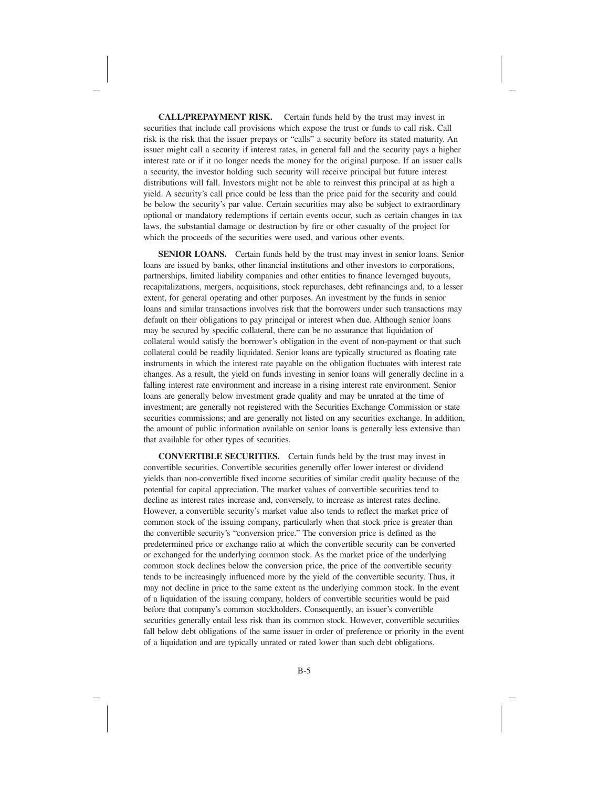**CALL/PREPAYMENT RISK.** Certain funds held by the trust may invest in securities that include call provisions which expose the trust or funds to call risk. Call risk is the risk that the issuer prepays or "calls" a security before its stated maturity. An issuer might call a security if interest rates, in general fall and the security pays a higher interest rate or if it no longer needs the money for the original purpose. If an issuer calls a security, the investor holding such security will receive principal but future interest distributions will fall. Investors might not be able to reinvest this principal at as high a yield. A security's call price could be less than the price paid for the security and could be below the security's par value. Certain securities may also be subject to extraordinary optional or mandatory redemptions if certain events occur, such as certain changes in tax laws, the substantial damage or destruction by fire or other casualty of the project for which the proceeds of the securities were used, and various other events.

**SENIOR LOANS.** Certain funds held by the trust may invest in senior loans. Senior loans are issued by banks, other financial institutions and other investors to corporations, partnerships, limited liability companies and other entities to finance leveraged buyouts, recapitalizations, mergers, acquisitions, stock repurchases, debt refinancings and, to a lesser extent, for general operating and other purposes. An investment by the funds in senior loans and similar transactions involves risk that the borrowers under such transactions may default on their obligations to pay principal or interest when due. Although senior loans may be secured by specific collateral, there can be no assurance that liquidation of collateral would satisfy the borrower's obligation in the event of non-payment or that such collateral could be readily liquidated. Senior loans are typically structured as floating rate instruments in which the interest rate payable on the obligation fluctuates with interest rate changes. As a result, the yield on funds investing in senior loans will generally decline in a falling interest rate environment and increase in a rising interest rate environment. Senior loans are generally below investment grade quality and may be unrated at the time of investment; are generally not registered with the Securities Exchange Commission or state securities commissions; and are generally not listed on any securities exchange. In addition, the amount of public information available on senior loans is generally less extensive than that available for other types of securities.

**CONVERTIBLE SECURITIES.** Certain funds held by the trust may invest in convertible securities. Convertible securities generally offer lower interest or dividend yields than non-convertible fixed income securities of similar credit quality because of the potential for capital appreciation. The market values of convertible securities tend to decline as interest rates increase and, conversely, to increase as interest rates decline. However, a convertible security's market value also tends to reflect the market price of common stock of the issuing company, particularly when that stock price is greater than the convertible security's "conversion price." The conversion price is defined as the predetermined price or exchange ratio at which the convertible security can be converted or exchanged for the underlying common stock. As the market price of the underlying common stock declines below the conversion price, the price of the convertible security tends to be increasingly influenced more by the yield of the convertible security. Thus, it may not decline in price to the same extent as the underlying common stock. In the event of a liquidation of the issuing company, holders of convertible securities would be paid before that company's common stockholders. Consequently, an issuer's convertible securities generally entail less risk than its common stock. However, convertible securities fall below debt obligations of the same issuer in order of preference or priority in the event of a liquidation and are typically unrated or rated lower than such debt obligations.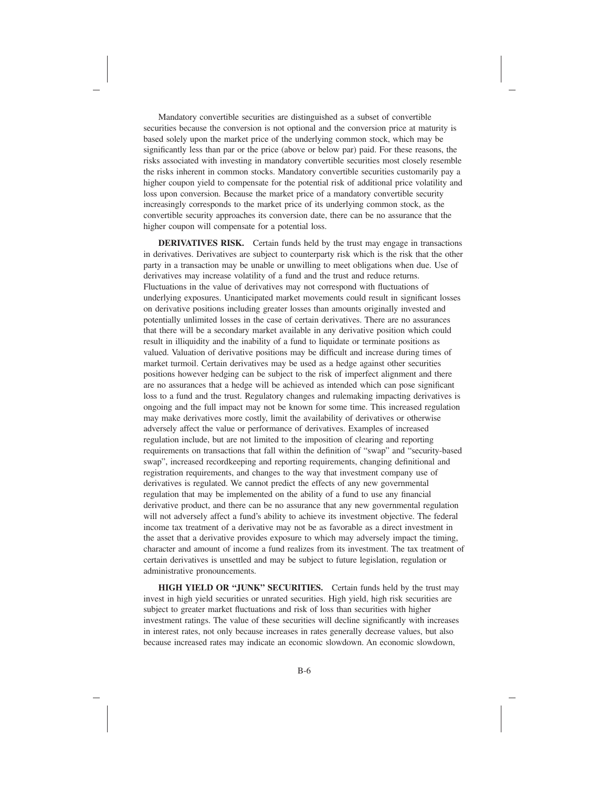Mandatory convertible securities are distinguished as a subset of convertible securities because the conversion is not optional and the conversion price at maturity is based solely upon the market price of the underlying common stock, which may be significantly less than par or the price (above or below par) paid. For these reasons, the risks associated with investing in mandatory convertible securities most closely resemble the risks inherent in common stocks. Mandatory convertible securities customarily pay a higher coupon yield to compensate for the potential risk of additional price volatility and loss upon conversion. Because the market price of a mandatory convertible security increasingly corresponds to the market price of its underlying common stock, as the convertible security approaches its conversion date, there can be no assurance that the higher coupon will compensate for a potential loss.

**DERIVATIVES RISK.** Certain funds held by the trust may engage in transactions in derivatives. Derivatives are subject to counterparty risk which is the risk that the other party in a transaction may be unable or unwilling to meet obligations when due. Use of derivatives may increase volatility of a fund and the trust and reduce returns. Fluctuations in the value of derivatives may not correspond with fluctuations of underlying exposures. Unanticipated market movements could result in significant losses on derivative positions including greater losses than amounts originally invested and potentially unlimited losses in the case of certain derivatives. There are no assurances that there will be a secondary market available in any derivative position which could result in illiquidity and the inability of a fund to liquidate or terminate positions as valued. Valuation of derivative positions may be difficult and increase during times of market turmoil. Certain derivatives may be used as a hedge against other securities positions however hedging can be subject to the risk of imperfect alignment and there are no assurances that a hedge will be achieved as intended which can pose significant loss to a fund and the trust. Regulatory changes and rulemaking impacting derivatives is ongoing and the full impact may not be known for some time. This increased regulation may make derivatives more costly, limit the availability of derivatives or otherwise adversely affect the value or performance of derivatives. Examples of increased regulation include, but are not limited to the imposition of clearing and reporting requirements on transactions that fall within the definition of "swap" and "security-based swap", increased recordkeeping and reporting requirements, changing definitional and registration requirements, and changes to the way that investment company use of derivatives is regulated. We cannot predict the effects of any new governmental regulation that may be implemented on the ability of a fund to use any financial derivative product, and there can be no assurance that any new governmental regulation will not adversely affect a fund's ability to achieve its investment objective. The federal income tax treatment of a derivative may not be as favorable as a direct investment in the asset that a derivative provides exposure to which may adversely impact the timing, character and amount of income a fund realizes from its investment. The tax treatment of certain derivatives is unsettled and may be subject to future legislation, regulation or administrative pronouncements.

**HIGH YIELD OR "JUNK" SECURITIES.** Certain funds held by the trust may invest in high yield securities or unrated securities. High yield, high risk securities are subject to greater market fluctuations and risk of loss than securities with higher investment ratings. The value of these securities will decline significantly with increases in interest rates, not only because increases in rates generally decrease values, but also because increased rates may indicate an economic slowdown. An economic slowdown,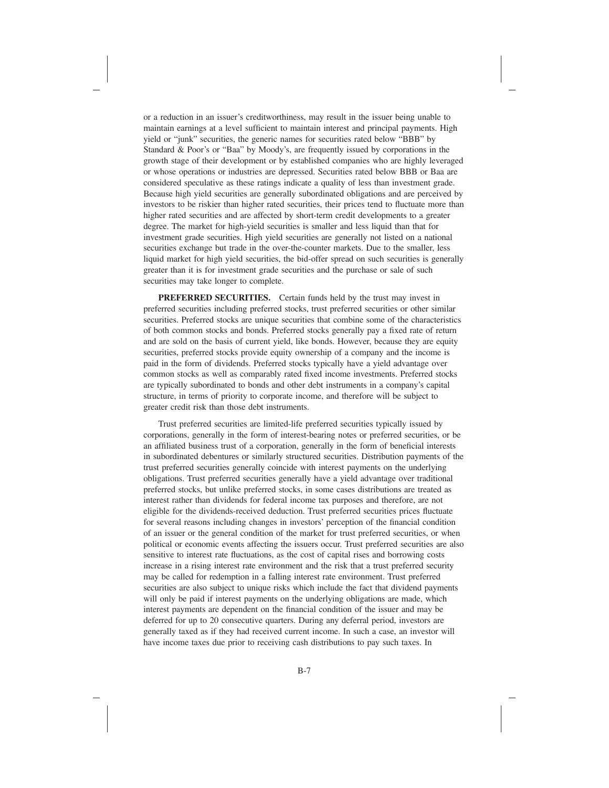or a reduction in an issuer's creditworthiness, may result in the issuer being unable to maintain earnings at a level sufficient to maintain interest and principal payments. High yield or "junk" securities, the generic names for securities rated below "BBB" by Standard & Poor's or "Baa" by Moody's, are frequently issued by corporations in the growth stage of their development or by established companies who are highly leveraged or whose operations or industries are depressed. Securities rated below BBB or Baa are considered speculative as these ratings indicate a quality of less than investment grade. Because high yield securities are generally subordinated obligations and are perceived by investors to be riskier than higher rated securities, their prices tend to fluctuate more than higher rated securities and are affected by short-term credit developments to a greater degree. The market for high-yield securities is smaller and less liquid than that for investment grade securities. High yield securities are generally not listed on a national securities exchange but trade in the over-the-counter markets. Due to the smaller, less liquid market for high yield securities, the bid-offer spread on such securities is generally greater than it is for investment grade securities and the purchase or sale of such securities may take longer to complete.

**PREFERRED SECURITIES.** Certain funds held by the trust may invest in preferred securities including preferred stocks, trust preferred securities or other similar securities. Preferred stocks are unique securities that combine some of the characteristics of both common stocks and bonds. Preferred stocks generally pay a fixed rate of return and are sold on the basis of current yield, like bonds. However, because they are equity securities, preferred stocks provide equity ownership of a company and the income is paid in the form of dividends. Preferred stocks typically have a yield advantage over common stocks as well as comparably rated fixed income investments. Preferred stocks are typically subordinated to bonds and other debt instruments in a company's capital structure, in terms of priority to corporate income, and therefore will be subject to greater credit risk than those debt instruments.

Trust preferred securities are limited-life preferred securities typically issued by corporations, generally in the form of interest-bearing notes or preferred securities, or be an affiliated business trust of a corporation, generally in the form of beneficial interests in subordinated debentures or similarly structured securities. Distribution payments of the trust preferred securities generally coincide with interest payments on the underlying obligations. Trust preferred securities generally have a yield advantage over traditional preferred stocks, but unlike preferred stocks, in some cases distributions are treated as interest rather than dividends for federal income tax purposes and therefore, are not eligible for the dividends-received deduction. Trust preferred securities prices fluctuate for several reasons including changes in investors' perception of the financial condition of an issuer or the general condition of the market for trust preferred securities, or when political or economic events affecting the issuers occur. Trust preferred securities are also sensitive to interest rate fluctuations, as the cost of capital rises and borrowing costs increase in a rising interest rate environment and the risk that a trust preferred security may be called for redemption in a falling interest rate environment. Trust preferred securities are also subject to unique risks which include the fact that dividend payments will only be paid if interest payments on the underlying obligations are made, which interest payments are dependent on the financial condition of the issuer and may be deferred for up to 20 consecutive quarters. During any deferral period, investors are generally taxed as if they had received current income. In such a case, an investor will have income taxes due prior to receiving cash distributions to pay such taxes. In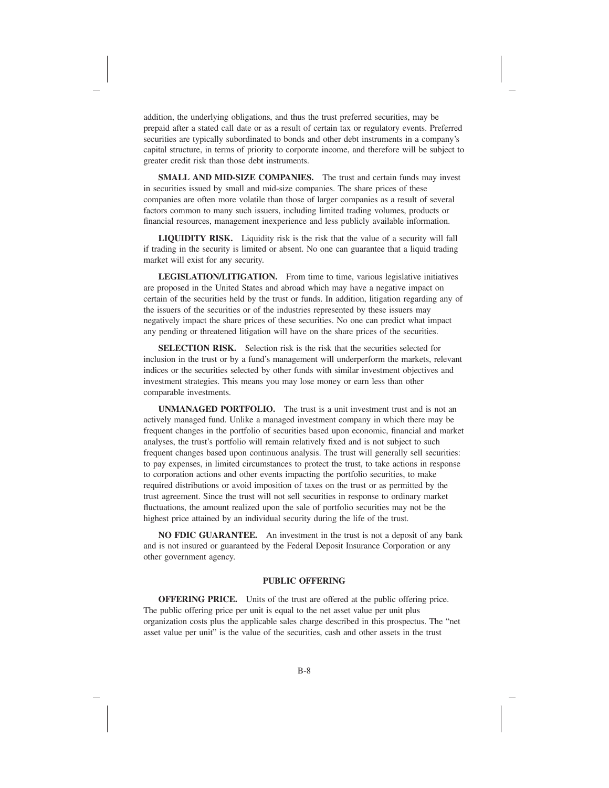addition, the underlying obligations, and thus the trust preferred securities, may be prepaid after a stated call date or as a result of certain tax or regulatory events. Preferred securities are typically subordinated to bonds and other debt instruments in a company's capital structure, in terms of priority to corporate income, and therefore will be subject to greater credit risk than those debt instruments.

**SMALL AND MID-SIZE COMPANIES.** The trust and certain funds may invest in securities issued by small and mid-size companies. The share prices of these companies are often more volatile than those of larger companies as a result of several factors common to many such issuers, including limited trading volumes, products or financial resources, management inexperience and less publicly available information.

**LIQUIDITY RISK.** Liquidity risk is the risk that the value of a security will fall if trading in the security is limited or absent. No one can guarantee that a liquid trading market will exist for any security.

**LEGISLATION/LITIGATION.** From time to time, various legislative initiatives are proposed in the United States and abroad which may have a negative impact on certain of the securities held by the trust or funds. In addition, litigation regarding any of the issuers of the securities or of the industries represented by these issuers may negatively impact the share prices of these securities. No one can predict what impact any pending or threatened litigation will have on the share prices of the securities.

**SELECTION RISK.** Selection risk is the risk that the securities selected for inclusion in the trust or by a fund's management will underperform the markets, relevant indices or the securities selected by other funds with similar investment objectives and investment strategies. This means you may lose money or earn less than other comparable investments.

**UNMANAGED PORTFOLIO.** The trust is a unit investment trust and is not an actively managed fund. Unlike a managed investment company in which there may be frequent changes in the portfolio of securities based upon economic, financial and market analyses, the trust's portfolio will remain relatively fixed and is not subject to such frequent changes based upon continuous analysis. The trust will generally sell securities: to pay expenses, in limited circumstances to protect the trust, to take actions in response to corporation actions and other events impacting the portfolio securities, to make required distributions or avoid imposition of taxes on the trust or as permitted by the trust agreement. Since the trust will not sell securities in response to ordinary market fluctuations, the amount realized upon the sale of portfolio securities may not be the highest price attained by an individual security during the life of the trust.

**NO FDIC GUARANTEE.** An investment in the trust is not a deposit of any bank and is not insured or guaranteed by the Federal Deposit Insurance Corporation or any other government agency.

### **PUBLIC OFFERING**

**OFFERING PRICE.** Units of the trust are offered at the public offering price. The public offering price per unit is equal to the net asset value per unit plus organization costs plus the applicable sales charge described in this prospectus. The "net asset value per unit" is the value of the securities, cash and other assets in the trust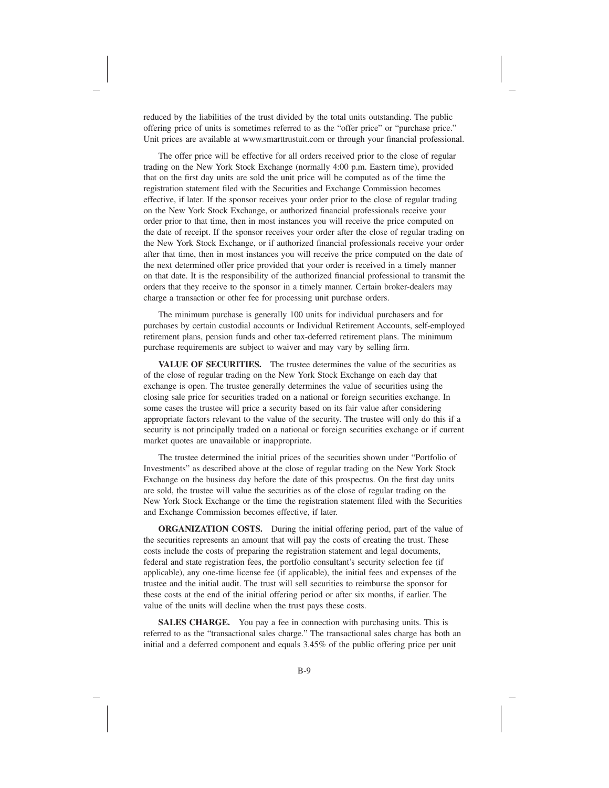reduced by the liabilities of the trust divided by the total units outstanding. The public offering price of units is sometimes referred to as the "offer price" or "purchase price." Unit prices are available at www.smarttrustuit.com or through your financial professional.

The offer price will be effective for all orders received prior to the close of regular trading on the New York Stock Exchange (normally 4:00 p.m. Eastern time), provided that on the first day units are sold the unit price will be computed as of the time the registration statement filed with the Securities and Exchange Commission becomes effective, if later. If the sponsor receives your order prior to the close of regular trading on the New York Stock Exchange, or authorized financial professionals receive your order prior to that time, then in most instances you will receive the price computed on the date of receipt. If the sponsor receives your order after the close of regular trading on the New York Stock Exchange, or if authorized financial professionals receive your order after that time, then in most instances you will receive the price computed on the date of the next determined offer price provided that your order is received in a timely manner on that date. It is the responsibility of the authorized financial professional to transmit the orders that they receive to the sponsor in a timely manner. Certain broker-dealers may charge a transaction or other fee for processing unit purchase orders.

The minimum purchase is generally 100 units for individual purchasers and for purchases by certain custodial accounts or Individual Retirement Accounts, self-employed retirement plans, pension funds and other tax-deferred retirement plans. The minimum purchase requirements are subject to waiver and may vary by selling firm.

**VALUE OF SECURITIES.** The trustee determines the value of the securities as of the close of regular trading on the New York Stock Exchange on each day that exchange is open. The trustee generally determines the value of securities using the closing sale price for securities traded on a national or foreign securities exchange. In some cases the trustee will price a security based on its fair value after considering appropriate factors relevant to the value of the security. The trustee will only do this if a security is not principally traded on a national or foreign securities exchange or if current market quotes are unavailable or inappropriate.

The trustee determined the initial prices of the securities shown under "Portfolio of Investments" as described above at the close of regular trading on the New York Stock Exchange on the business day before the date of this prospectus. On the first day units are sold, the trustee will value the securities as of the close of regular trading on the New York Stock Exchange or the time the registration statement filed with the Securities and Exchange Commission becomes effective, if later.

**ORGANIZATION COSTS.** During the initial offering period, part of the value of the securities represents an amount that will pay the costs of creating the trust. These costs include the costs of preparing the registration statement and legal documents, federal and state registration fees, the portfolio consultant's security selection fee (if applicable), any one-time license fee (if applicable), the initial fees and expenses of the trustee and the initial audit. The trust will sell securities to reimburse the sponsor for these costs at the end of the initial offering period or after six months, if earlier. The value of the units will decline when the trust pays these costs.

**SALES CHARGE.** You pay a fee in connection with purchasing units. This is referred to as the "transactional sales charge." The transactional sales charge has both an initial and a deferred component and equals 3.45% of the public offering price per unit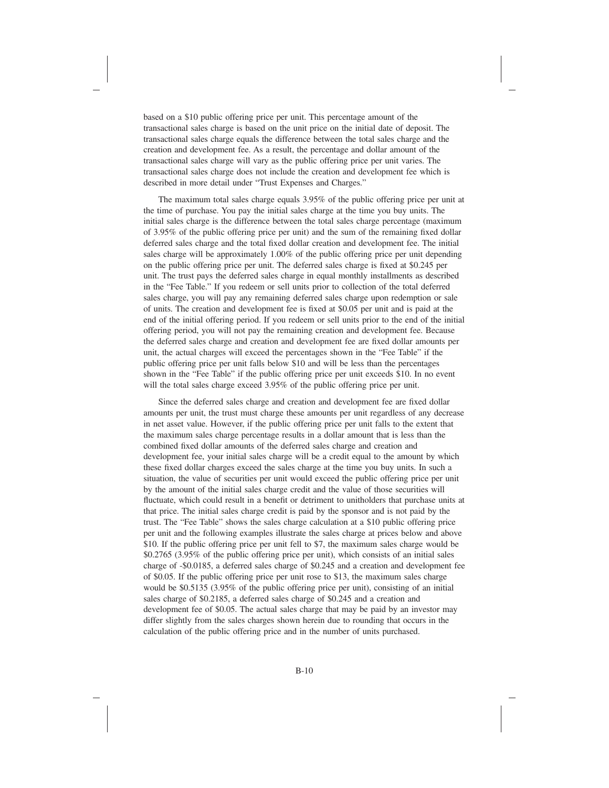based on a \$10 public offering price per unit. This percentage amount of the transactional sales charge is based on the unit price on the initial date of deposit. The transactional sales charge equals the difference between the total sales charge and the creation and development fee. As a result, the percentage and dollar amount of the transactional sales charge will vary as the public offering price per unit varies. The transactional sales charge does not include the creation and development fee which is described in more detail under "Trust Expenses and Charges."

The maximum total sales charge equals 3.95% of the public offering price per unit at the time of purchase. You pay the initial sales charge at the time you buy units. The initial sales charge is the difference between the total sales charge percentage (maximum of 3.95% of the public offering price per unit) and the sum of the remaining fixed dollar deferred sales charge and the total fixed dollar creation and development fee. The initial sales charge will be approximately 1.00% of the public offering price per unit depending on the public offering price per unit. The deferred sales charge is fixed at \$0.245 per unit. The trust pays the deferred sales charge in equal monthly installments as described in the "Fee Table." If you redeem or sell units prior to collection of the total deferred sales charge, you will pay any remaining deferred sales charge upon redemption or sale of units. The creation and development fee is fixed at \$0.05 per unit and is paid at the end of the initial offering period. If you redeem or sell units prior to the end of the initial offering period, you will not pay the remaining creation and development fee. Because the deferred sales charge and creation and development fee are fixed dollar amounts per unit, the actual charges will exceed the percentages shown in the "Fee Table" if the public offering price per unit falls below \$10 and will be less than the percentages shown in the "Fee Table" if the public offering price per unit exceeds \$10. In no event will the total sales charge exceed 3.95% of the public offering price per unit.

Since the deferred sales charge and creation and development fee are fixed dollar amounts per unit, the trust must charge these amounts per unit regardless of any decrease in net asset value. However, if the public offering price per unit falls to the extent that the maximum sales charge percentage results in a dollar amount that is less than the combined fixed dollar amounts of the deferred sales charge and creation and development fee, your initial sales charge will be a credit equal to the amount by which these fixed dollar charges exceed the sales charge at the time you buy units. In such a situation, the value of securities per unit would exceed the public offering price per unit by the amount of the initial sales charge credit and the value of those securities will fluctuate, which could result in a benefit or detriment to unitholders that purchase units at that price. The initial sales charge credit is paid by the sponsor and is not paid by the trust. The "Fee Table" shows the sales charge calculation at a \$10 public offering price per unit and the following examples illustrate the sales charge at prices below and above \$10. If the public offering price per unit fell to \$7, the maximum sales charge would be \$0.2765 (3.95% of the public offering price per unit), which consists of an initial sales charge of -\$0.0185, a deferred sales charge of \$0.245 and a creation and development fee of \$0.05. If the public offering price per unit rose to \$13, the maximum sales charge would be \$0.5135 (3.95% of the public offering price per unit), consisting of an initial sales charge of \$0.2185, a deferred sales charge of \$0.245 and a creation and development fee of \$0.05. The actual sales charge that may be paid by an investor may differ slightly from the sales charges shown herein due to rounding that occurs in the calculation of the public offering price and in the number of units purchased.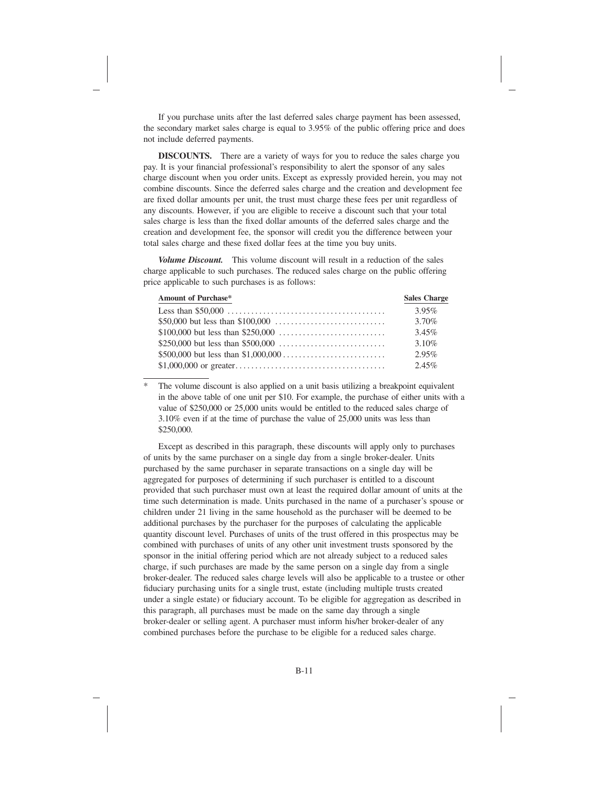If you purchase units after the last deferred sales charge payment has been assessed, the secondary market sales charge is equal to 3.95% of the public offering price and does not include deferred payments.

**DISCOUNTS.** There are a variety of ways for you to reduce the sales charge you pay. It is your financial professional's responsibility to alert the sponsor of any sales charge discount when you order units. Except as expressly provided herein, you may not combine discounts. Since the deferred sales charge and the creation and development fee are fixed dollar amounts per unit, the trust must charge these fees per unit regardless of any discounts. However, if you are eligible to receive a discount such that your total sales charge is less than the fixed dollar amounts of the deferred sales charge and the creation and development fee, the sponsor will credit you the difference between your total sales charge and these fixed dollar fees at the time you buy units.

*Volume Discount.* This volume discount will result in a reduction of the sales charge applicable to such purchases. The reduced sales charge on the public offering price applicable to such purchases is as follows:

| Amount of Purchase* | <b>Sales Charge</b> |
|---------------------|---------------------|
|                     | $3.95\%$            |
|                     | 3.70%               |
|                     | 3.45%               |
|                     | 3.10%               |
|                     | $2.95\%$            |
|                     | 2.45%               |

\* The volume discount is also applied on a unit basis utilizing a breakpoint equivalent in the above table of one unit per \$10. For example, the purchase of either units with a value of \$250,000 or 25,000 units would be entitled to the reduced sales charge of 3.10% even if at the time of purchase the value of 25,000 units was less than \$250,000.

Except as described in this paragraph, these discounts will apply only to purchases of units by the same purchaser on a single day from a single broker-dealer. Units purchased by the same purchaser in separate transactions on a single day will be aggregated for purposes of determining if such purchaser is entitled to a discount provided that such purchaser must own at least the required dollar amount of units at the time such determination is made. Units purchased in the name of a purchaser's spouse or children under 21 living in the same household as the purchaser will be deemed to be additional purchases by the purchaser for the purposes of calculating the applicable quantity discount level. Purchases of units of the trust offered in this prospectus may be combined with purchases of units of any other unit investment trusts sponsored by the sponsor in the initial offering period which are not already subject to a reduced sales charge, if such purchases are made by the same person on a single day from a single broker-dealer. The reduced sales charge levels will also be applicable to a trustee or other fiduciary purchasing units for a single trust, estate (including multiple trusts created under a single estate) or fiduciary account. To be eligible for aggregation as described in this paragraph, all purchases must be made on the same day through a single broker-dealer or selling agent. A purchaser must inform his/her broker-dealer of any combined purchases before the purchase to be eligible for a reduced sales charge.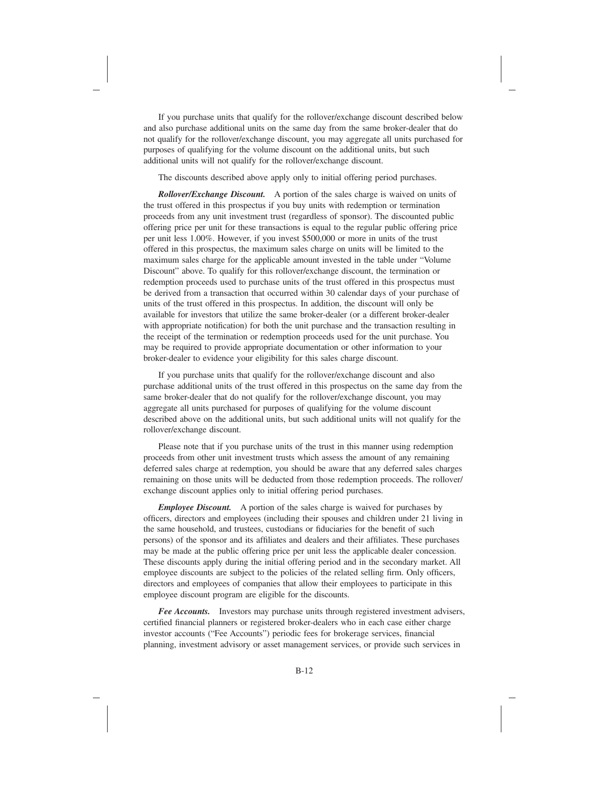If you purchase units that qualify for the rollover/exchange discount described below and also purchase additional units on the same day from the same broker-dealer that do not qualify for the rollover/exchange discount, you may aggregate all units purchased for purposes of qualifying for the volume discount on the additional units, but such additional units will not qualify for the rollover/exchange discount.

The discounts described above apply only to initial offering period purchases.

*Rollover/Exchange Discount.* A portion of the sales charge is waived on units of the trust offered in this prospectus if you buy units with redemption or termination proceeds from any unit investment trust (regardless of sponsor). The discounted public offering price per unit for these transactions is equal to the regular public offering price per unit less 1.00%. However, if you invest \$500,000 or more in units of the trust offered in this prospectus, the maximum sales charge on units will be limited to the maximum sales charge for the applicable amount invested in the table under "Volume Discount" above. To qualify for this rollover/exchange discount, the termination or redemption proceeds used to purchase units of the trust offered in this prospectus must be derived from a transaction that occurred within 30 calendar days of your purchase of units of the trust offered in this prospectus. In addition, the discount will only be available for investors that utilize the same broker-dealer (or a different broker-dealer with appropriate notification) for both the unit purchase and the transaction resulting in the receipt of the termination or redemption proceeds used for the unit purchase. You may be required to provide appropriate documentation or other information to your broker-dealer to evidence your eligibility for this sales charge discount.

If you purchase units that qualify for the rollover/exchange discount and also purchase additional units of the trust offered in this prospectus on the same day from the same broker-dealer that do not qualify for the rollover/exchange discount, you may aggregate all units purchased for purposes of qualifying for the volume discount described above on the additional units, but such additional units will not qualify for the rollover/exchange discount.

Please note that if you purchase units of the trust in this manner using redemption proceeds from other unit investment trusts which assess the amount of any remaining deferred sales charge at redemption, you should be aware that any deferred sales charges remaining on those units will be deducted from those redemption proceeds. The rollover/ exchange discount applies only to initial offering period purchases.

*Employee Discount.* A portion of the sales charge is waived for purchases by officers, directors and employees (including their spouses and children under 21 living in the same household, and trustees, custodians or fiduciaries for the benefit of such persons) of the sponsor and its affiliates and dealers and their affiliates. These purchases may be made at the public offering price per unit less the applicable dealer concession. These discounts apply during the initial offering period and in the secondary market. All employee discounts are subject to the policies of the related selling firm. Only officers, directors and employees of companies that allow their employees to participate in this employee discount program are eligible for the discounts.

*Fee Accounts.* Investors may purchase units through registered investment advisers, certified financial planners or registered broker-dealers who in each case either charge investor accounts ("Fee Accounts") periodic fees for brokerage services, financial planning, investment advisory or asset management services, or provide such services in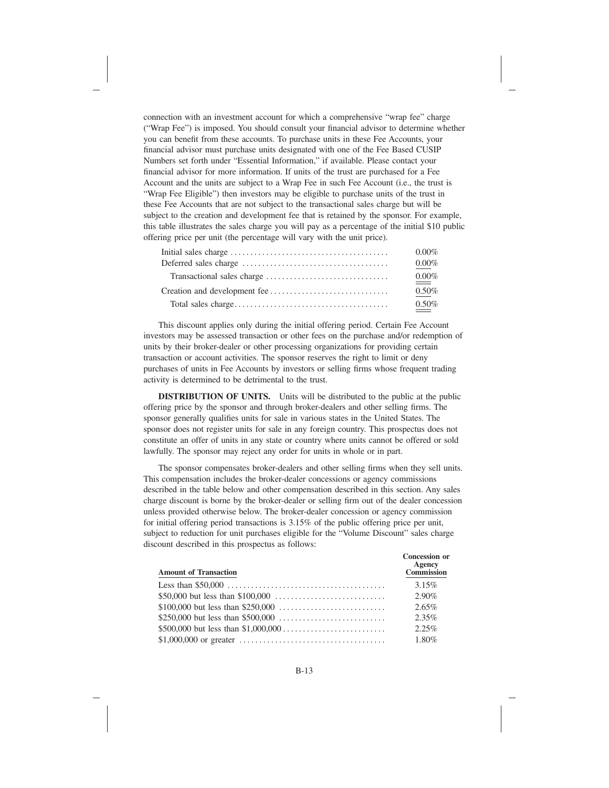connection with an investment account for which a comprehensive "wrap fee" charge ("Wrap Fee") is imposed. You should consult your financial advisor to determine whether you can benefit from these accounts. To purchase units in these Fee Accounts, your financial advisor must purchase units designated with one of the Fee Based CUSIP Numbers set forth under "Essential Information," if available. Please contact your financial advisor for more information. If units of the trust are purchased for a Fee Account and the units are subject to a Wrap Fee in such Fee Account (i.e., the trust is "Wrap Fee Eligible") then investors may be eligible to purchase units of the trust in these Fee Accounts that are not subject to the transactional sales charge but will be subject to the creation and development fee that is retained by the sponsor. For example, this table illustrates the sales charge you will pay as a percentage of the initial \$10 public offering price per unit (the percentage will vary with the unit price).

| $0.00\%$ |
|----------|
| $0.00\%$ |
| $0.00\%$ |
| $0.50\%$ |
| $0.50\%$ |

This discount applies only during the initial offering period. Certain Fee Account investors may be assessed transaction or other fees on the purchase and/or redemption of units by their broker-dealer or other processing organizations for providing certain transaction or account activities. The sponsor reserves the right to limit or deny purchases of units in Fee Accounts by investors or selling firms whose frequent trading activity is determined to be detrimental to the trust.

**DISTRIBUTION OF UNITS.** Units will be distributed to the public at the public offering price by the sponsor and through broker-dealers and other selling firms. The sponsor generally qualifies units for sale in various states in the United States. The sponsor does not register units for sale in any foreign country. This prospectus does not constitute an offer of units in any state or country where units cannot be offered or sold lawfully. The sponsor may reject any order for units in whole or in part.

The sponsor compensates broker-dealers and other selling firms when they sell units. This compensation includes the broker-dealer concessions or agency commissions described in the table below and other compensation described in this section. Any sales charge discount is borne by the broker-dealer or selling firm out of the dealer concession unless provided otherwise below. The broker-dealer concession or agency commission for initial offering period transactions is 3.15% of the public offering price per unit, subject to reduction for unit purchases eligible for the "Volume Discount" sales charge discount described in this prospectus as follows:

| <b>Amount of Transaction</b> | <b>Concession or</b><br>Agency<br><b>Commission</b> |
|------------------------------|-----------------------------------------------------|
|                              | 3.15%                                               |
|                              | $2.90\%$                                            |
|                              | 2.65%                                               |
|                              | 2.35%                                               |
|                              | 2.25%                                               |
|                              | 1.80%                                               |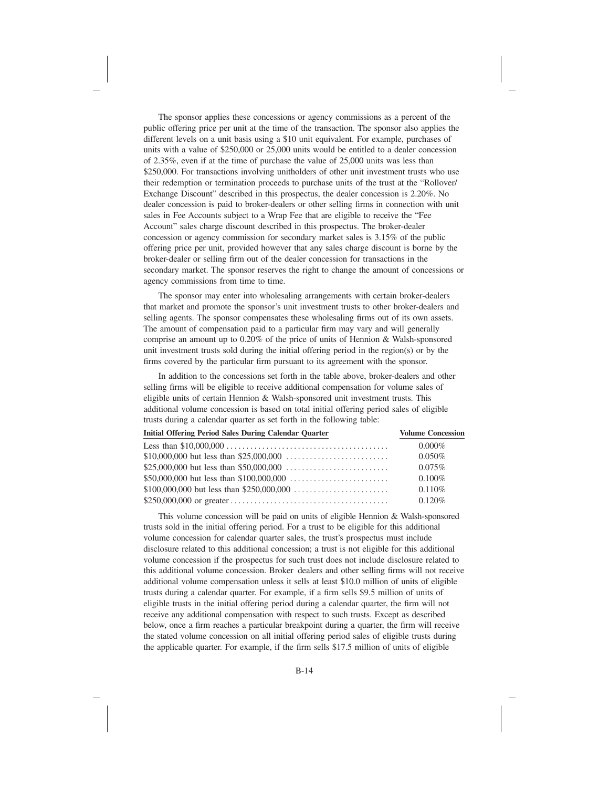The sponsor applies these concessions or agency commissions as a percent of the public offering price per unit at the time of the transaction. The sponsor also applies the different levels on a unit basis using a \$10 unit equivalent. For example, purchases of units with a value of \$250,000 or 25,000 units would be entitled to a dealer concession of 2.35%, even if at the time of purchase the value of 25,000 units was less than \$250,000. For transactions involving unitholders of other unit investment trusts who use their redemption or termination proceeds to purchase units of the trust at the "Rollover/ Exchange Discount" described in this prospectus, the dealer concession is 2.20%. No dealer concession is paid to broker-dealers or other selling firms in connection with unit sales in Fee Accounts subject to a Wrap Fee that are eligible to receive the "Fee Account" sales charge discount described in this prospectus. The broker-dealer concession or agency commission for secondary market sales is 3.15% of the public offering price per unit, provided however that any sales charge discount is borne by the broker-dealer or selling firm out of the dealer concession for transactions in the secondary market. The sponsor reserves the right to change the amount of concessions or agency commissions from time to time.

The sponsor may enter into wholesaling arrangements with certain broker-dealers that market and promote the sponsor's unit investment trusts to other broker-dealers and selling agents. The sponsor compensates these wholesaling firms out of its own assets. The amount of compensation paid to a particular firm may vary and will generally comprise an amount up to 0.20% of the price of units of Hennion & Walsh-sponsored unit investment trusts sold during the initial offering period in the region(s) or by the firms covered by the particular firm pursuant to its agreement with the sponsor.

In addition to the concessions set forth in the table above, broker-dealers and other selling firms will be eligible to receive additional compensation for volume sales of eligible units of certain Hennion & Walsh-sponsored unit investment trusts. This additional volume concession is based on total initial offering period sales of eligible trusts during a calendar quarter as set forth in the following table:

| <b>Initial Offering Period Sales During Calendar Quarter</b> | <b>Volume Concession</b> |
|--------------------------------------------------------------|--------------------------|
|                                                              | $0.000\%$                |
|                                                              | $0.050\%$                |
|                                                              | 0.075%                   |
|                                                              | $0.100\%$                |
|                                                              | 0.110%                   |
|                                                              | 0.120%                   |

This volume concession will be paid on units of eligible Hennion & Walsh-sponsored trusts sold in the initial offering period. For a trust to be eligible for this additional volume concession for calendar quarter sales, the trust's prospectus must include disclosure related to this additional concession; a trust is not eligible for this additional volume concession if the prospectus for such trust does not include disclosure related to this additional volume concession. Broker dealers and other selling firms will not receive additional volume compensation unless it sells at least \$10.0 million of units of eligible trusts during a calendar quarter. For example, if a firm sells \$9.5 million of units of eligible trusts in the initial offering period during a calendar quarter, the firm will not receive any additional compensation with respect to such trusts. Except as described below, once a firm reaches a particular breakpoint during a quarter, the firm will receive the stated volume concession on all initial offering period sales of eligible trusts during the applicable quarter. For example, if the firm sells \$17.5 million of units of eligible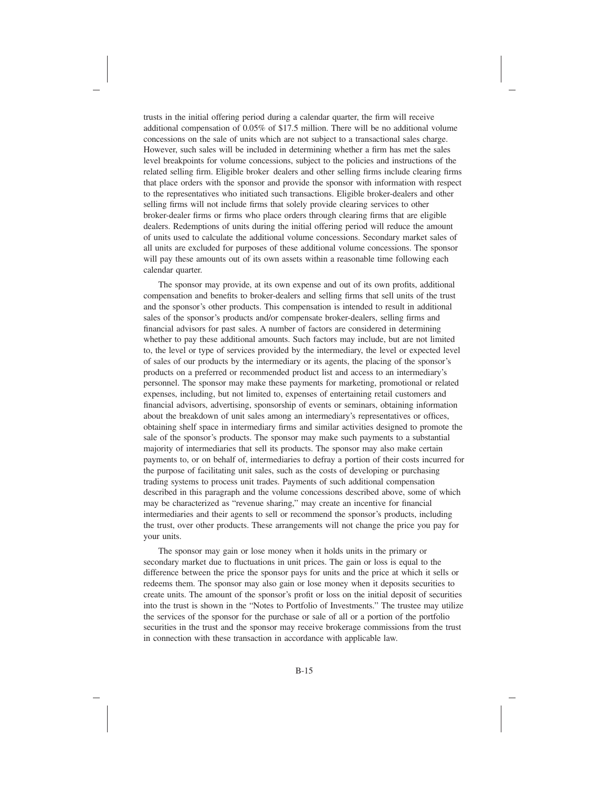trusts in the initial offering period during a calendar quarter, the firm will receive additional compensation of 0.05% of \$17.5 million. There will be no additional volume concessions on the sale of units which are not subject to a transactional sales charge. However, such sales will be included in determining whether a firm has met the sales level breakpoints for volume concessions, subject to the policies and instructions of the related selling firm. Eligible broker dealers and other selling firms include clearing firms that place orders with the sponsor and provide the sponsor with information with respect to the representatives who initiated such transactions. Eligible broker-dealers and other selling firms will not include firms that solely provide clearing services to other broker-dealer firms or firms who place orders through clearing firms that are eligible dealers. Redemptions of units during the initial offering period will reduce the amount of units used to calculate the additional volume concessions. Secondary market sales of all units are excluded for purposes of these additional volume concessions. The sponsor will pay these amounts out of its own assets within a reasonable time following each calendar quarter.

The sponsor may provide, at its own expense and out of its own profits, additional compensation and benefits to broker-dealers and selling firms that sell units of the trust and the sponsor's other products. This compensation is intended to result in additional sales of the sponsor's products and/or compensate broker-dealers, selling firms and financial advisors for past sales. A number of factors are considered in determining whether to pay these additional amounts. Such factors may include, but are not limited to, the level or type of services provided by the intermediary, the level or expected level of sales of our products by the intermediary or its agents, the placing of the sponsor's products on a preferred or recommended product list and access to an intermediary's personnel. The sponsor may make these payments for marketing, promotional or related expenses, including, but not limited to, expenses of entertaining retail customers and financial advisors, advertising, sponsorship of events or seminars, obtaining information about the breakdown of unit sales among an intermediary's representatives or offices, obtaining shelf space in intermediary firms and similar activities designed to promote the sale of the sponsor's products. The sponsor may make such payments to a substantial majority of intermediaries that sell its products. The sponsor may also make certain payments to, or on behalf of, intermediaries to defray a portion of their costs incurred for the purpose of facilitating unit sales, such as the costs of developing or purchasing trading systems to process unit trades. Payments of such additional compensation described in this paragraph and the volume concessions described above, some of which may be characterized as "revenue sharing," may create an incentive for financial intermediaries and their agents to sell or recommend the sponsor's products, including the trust, over other products. These arrangements will not change the price you pay for your units.

The sponsor may gain or lose money when it holds units in the primary or secondary market due to fluctuations in unit prices. The gain or loss is equal to the difference between the price the sponsor pays for units and the price at which it sells or redeems them. The sponsor may also gain or lose money when it deposits securities to create units. The amount of the sponsor's profit or loss on the initial deposit of securities into the trust is shown in the "Notes to Portfolio of Investments." The trustee may utilize the services of the sponsor for the purchase or sale of all or a portion of the portfolio securities in the trust and the sponsor may receive brokerage commissions from the trust in connection with these transaction in accordance with applicable law.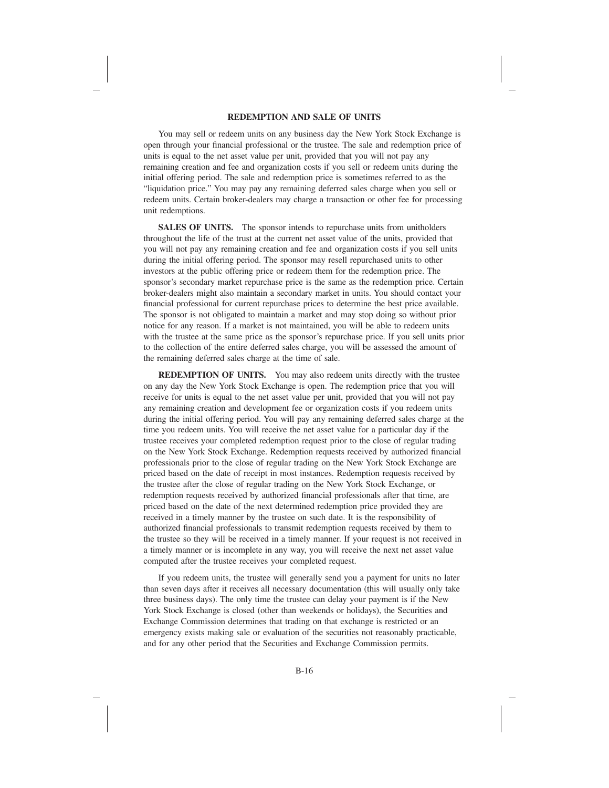### **REDEMPTION AND SALE OF UNITS**

You may sell or redeem units on any business day the New York Stock Exchange is open through your financial professional or the trustee. The sale and redemption price of units is equal to the net asset value per unit, provided that you will not pay any remaining creation and fee and organization costs if you sell or redeem units during the initial offering period. The sale and redemption price is sometimes referred to as the "liquidation price." You may pay any remaining deferred sales charge when you sell or redeem units. Certain broker-dealers may charge a transaction or other fee for processing unit redemptions.

SALES OF UNITS. The sponsor intends to repurchase units from unitholders throughout the life of the trust at the current net asset value of the units, provided that you will not pay any remaining creation and fee and organization costs if you sell units during the initial offering period. The sponsor may resell repurchased units to other investors at the public offering price or redeem them for the redemption price. The sponsor's secondary market repurchase price is the same as the redemption price. Certain broker-dealers might also maintain a secondary market in units. You should contact your financial professional for current repurchase prices to determine the best price available. The sponsor is not obligated to maintain a market and may stop doing so without prior notice for any reason. If a market is not maintained, you will be able to redeem units with the trustee at the same price as the sponsor's repurchase price. If you sell units prior to the collection of the entire deferred sales charge, you will be assessed the amount of the remaining deferred sales charge at the time of sale.

**REDEMPTION OF UNITS.** You may also redeem units directly with the trustee on any day the New York Stock Exchange is open. The redemption price that you will receive for units is equal to the net asset value per unit, provided that you will not pay any remaining creation and development fee or organization costs if you redeem units during the initial offering period. You will pay any remaining deferred sales charge at the time you redeem units. You will receive the net asset value for a particular day if the trustee receives your completed redemption request prior to the close of regular trading on the New York Stock Exchange. Redemption requests received by authorized financial professionals prior to the close of regular trading on the New York Stock Exchange are priced based on the date of receipt in most instances. Redemption requests received by the trustee after the close of regular trading on the New York Stock Exchange, or redemption requests received by authorized financial professionals after that time, are priced based on the date of the next determined redemption price provided they are received in a timely manner by the trustee on such date. It is the responsibility of authorized financial professionals to transmit redemption requests received by them to the trustee so they will be received in a timely manner. If your request is not received in a timely manner or is incomplete in any way, you will receive the next net asset value computed after the trustee receives your completed request.

If you redeem units, the trustee will generally send you a payment for units no later than seven days after it receives all necessary documentation (this will usually only take three business days). The only time the trustee can delay your payment is if the New York Stock Exchange is closed (other than weekends or holidays), the Securities and Exchange Commission determines that trading on that exchange is restricted or an emergency exists making sale or evaluation of the securities not reasonably practicable, and for any other period that the Securities and Exchange Commission permits.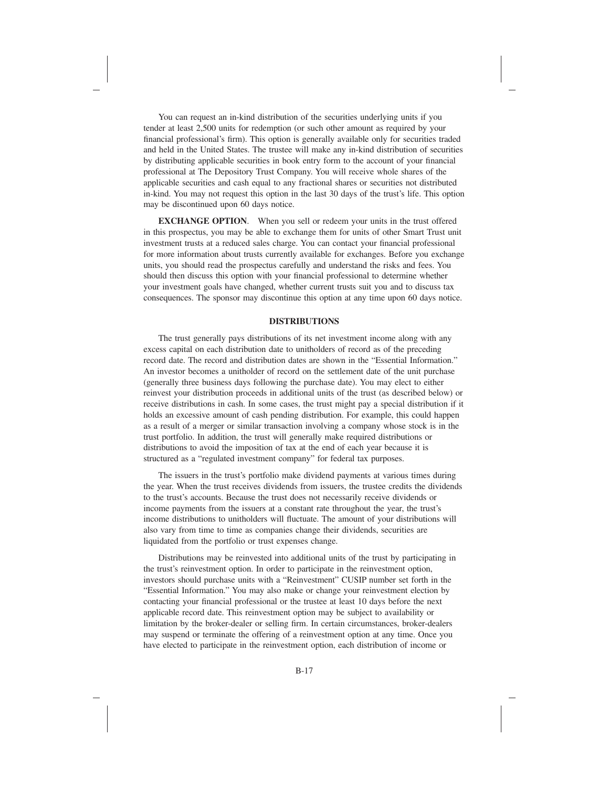You can request an in-kind distribution of the securities underlying units if you tender at least 2,500 units for redemption (or such other amount as required by your financial professional's firm). This option is generally available only for securities traded and held in the United States. The trustee will make any in-kind distribution of securities by distributing applicable securities in book entry form to the account of your financial professional at The Depository Trust Company. You will receive whole shares of the applicable securities and cash equal to any fractional shares or securities not distributed in-kind. You may not request this option in the last 30 days of the trust's life. This option may be discontinued upon 60 days notice.

**EXCHANGE OPTION**. When you sell or redeem your units in the trust offered in this prospectus, you may be able to exchange them for units of other Smart Trust unit investment trusts at a reduced sales charge. You can contact your financial professional for more information about trusts currently available for exchanges. Before you exchange units, you should read the prospectus carefully and understand the risks and fees. You should then discuss this option with your financial professional to determine whether your investment goals have changed, whether current trusts suit you and to discuss tax consequences. The sponsor may discontinue this option at any time upon 60 days notice.

### **DISTRIBUTIONS**

The trust generally pays distributions of its net investment income along with any excess capital on each distribution date to unitholders of record as of the preceding record date. The record and distribution dates are shown in the "Essential Information." An investor becomes a unitholder of record on the settlement date of the unit purchase (generally three business days following the purchase date). You may elect to either reinvest your distribution proceeds in additional units of the trust (as described below) or receive distributions in cash. In some cases, the trust might pay a special distribution if it holds an excessive amount of cash pending distribution. For example, this could happen as a result of a merger or similar transaction involving a company whose stock is in the trust portfolio. In addition, the trust will generally make required distributions or distributions to avoid the imposition of tax at the end of each year because it is structured as a "regulated investment company" for federal tax purposes.

The issuers in the trust's portfolio make dividend payments at various times during the year. When the trust receives dividends from issuers, the trustee credits the dividends to the trust's accounts. Because the trust does not necessarily receive dividends or income payments from the issuers at a constant rate throughout the year, the trust's income distributions to unitholders will fluctuate. The amount of your distributions will also vary from time to time as companies change their dividends, securities are liquidated from the portfolio or trust expenses change.

Distributions may be reinvested into additional units of the trust by participating in the trust's reinvestment option. In order to participate in the reinvestment option, investors should purchase units with a "Reinvestment" CUSIP number set forth in the "Essential Information." You may also make or change your reinvestment election by contacting your financial professional or the trustee at least 10 days before the next applicable record date. This reinvestment option may be subject to availability or limitation by the broker-dealer or selling firm. In certain circumstances, broker-dealers may suspend or terminate the offering of a reinvestment option at any time. Once you have elected to participate in the reinvestment option, each distribution of income or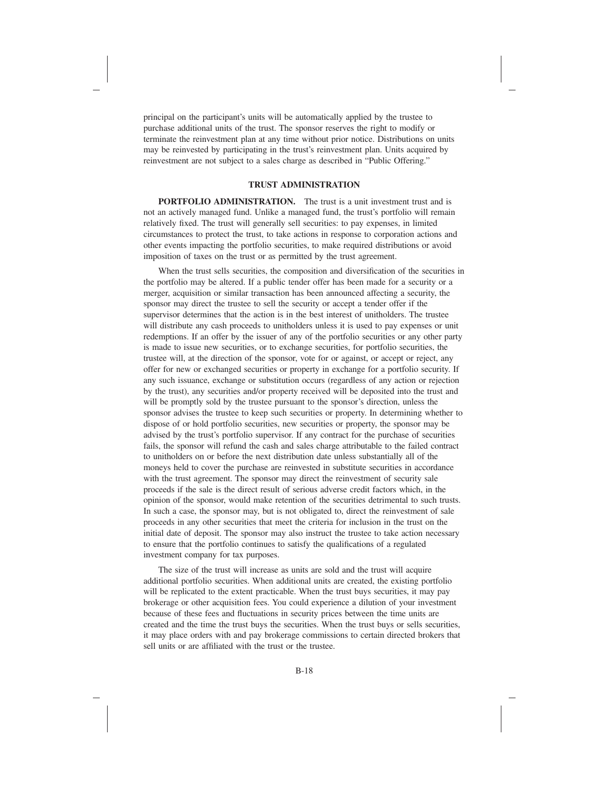principal on the participant's units will be automatically applied by the trustee to purchase additional units of the trust. The sponsor reserves the right to modify or terminate the reinvestment plan at any time without prior notice. Distributions on units may be reinvested by participating in the trust's reinvestment plan. Units acquired by reinvestment are not subject to a sales charge as described in "Public Offering."

### **TRUST ADMINISTRATION**

**PORTFOLIO ADMINISTRATION.** The trust is a unit investment trust and is not an actively managed fund. Unlike a managed fund, the trust's portfolio will remain relatively fixed. The trust will generally sell securities: to pay expenses, in limited circumstances to protect the trust, to take actions in response to corporation actions and other events impacting the portfolio securities, to make required distributions or avoid imposition of taxes on the trust or as permitted by the trust agreement.

When the trust sells securities, the composition and diversification of the securities in the portfolio may be altered. If a public tender offer has been made for a security or a merger, acquisition or similar transaction has been announced affecting a security, the sponsor may direct the trustee to sell the security or accept a tender offer if the supervisor determines that the action is in the best interest of unitholders. The trustee will distribute any cash proceeds to unitholders unless it is used to pay expenses or unit redemptions. If an offer by the issuer of any of the portfolio securities or any other party is made to issue new securities, or to exchange securities, for portfolio securities, the trustee will, at the direction of the sponsor, vote for or against, or accept or reject, any offer for new or exchanged securities or property in exchange for a portfolio security. If any such issuance, exchange or substitution occurs (regardless of any action or rejection by the trust), any securities and/or property received will be deposited into the trust and will be promptly sold by the trustee pursuant to the sponsor's direction, unless the sponsor advises the trustee to keep such securities or property. In determining whether to dispose of or hold portfolio securities, new securities or property, the sponsor may be advised by the trust's portfolio supervisor. If any contract for the purchase of securities fails, the sponsor will refund the cash and sales charge attributable to the failed contract to unitholders on or before the next distribution date unless substantially all of the moneys held to cover the purchase are reinvested in substitute securities in accordance with the trust agreement. The sponsor may direct the reinvestment of security sale proceeds if the sale is the direct result of serious adverse credit factors which, in the opinion of the sponsor, would make retention of the securities detrimental to such trusts. In such a case, the sponsor may, but is not obligated to, direct the reinvestment of sale proceeds in any other securities that meet the criteria for inclusion in the trust on the initial date of deposit. The sponsor may also instruct the trustee to take action necessary to ensure that the portfolio continues to satisfy the qualifications of a regulated investment company for tax purposes.

The size of the trust will increase as units are sold and the trust will acquire additional portfolio securities. When additional units are created, the existing portfolio will be replicated to the extent practicable. When the trust buys securities, it may pay brokerage or other acquisition fees. You could experience a dilution of your investment because of these fees and fluctuations in security prices between the time units are created and the time the trust buys the securities. When the trust buys or sells securities, it may place orders with and pay brokerage commissions to certain directed brokers that sell units or are affiliated with the trust or the trustee.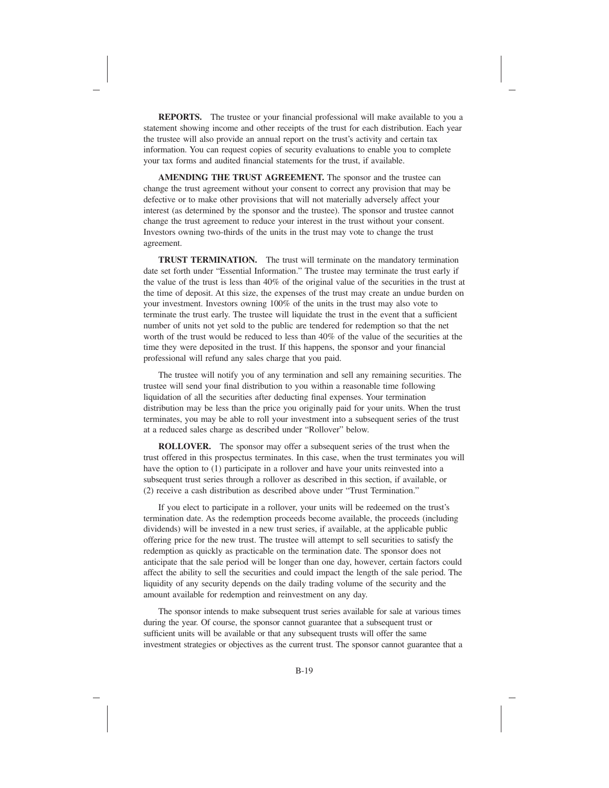**REPORTS.** The trustee or your financial professional will make available to you a statement showing income and other receipts of the trust for each distribution. Each year the trustee will also provide an annual report on the trust's activity and certain tax information. You can request copies of security evaluations to enable you to complete your tax forms and audited financial statements for the trust, if available.

**AMENDING THE TRUST AGREEMENT.** The sponsor and the trustee can change the trust agreement without your consent to correct any provision that may be defective or to make other provisions that will not materially adversely affect your interest (as determined by the sponsor and the trustee). The sponsor and trustee cannot change the trust agreement to reduce your interest in the trust without your consent. Investors owning two-thirds of the units in the trust may vote to change the trust agreement.

**TRUST TERMINATION.** The trust will terminate on the mandatory termination date set forth under "Essential Information." The trustee may terminate the trust early if the value of the trust is less than 40% of the original value of the securities in the trust at the time of deposit. At this size, the expenses of the trust may create an undue burden on your investment. Investors owning 100% of the units in the trust may also vote to terminate the trust early. The trustee will liquidate the trust in the event that a sufficient number of units not yet sold to the public are tendered for redemption so that the net worth of the trust would be reduced to less than 40% of the value of the securities at the time they were deposited in the trust. If this happens, the sponsor and your financial professional will refund any sales charge that you paid.

The trustee will notify you of any termination and sell any remaining securities. The trustee will send your final distribution to you within a reasonable time following liquidation of all the securities after deducting final expenses. Your termination distribution may be less than the price you originally paid for your units. When the trust terminates, you may be able to roll your investment into a subsequent series of the trust at a reduced sales charge as described under "Rollover" below.

**ROLLOVER.** The sponsor may offer a subsequent series of the trust when the trust offered in this prospectus terminates. In this case, when the trust terminates you will have the option to (1) participate in a rollover and have your units reinvested into a subsequent trust series through a rollover as described in this section, if available, or (2) receive a cash distribution as described above under "Trust Termination."

If you elect to participate in a rollover, your units will be redeemed on the trust's termination date. As the redemption proceeds become available, the proceeds (including dividends) will be invested in a new trust series, if available, at the applicable public offering price for the new trust. The trustee will attempt to sell securities to satisfy the redemption as quickly as practicable on the termination date. The sponsor does not anticipate that the sale period will be longer than one day, however, certain factors could affect the ability to sell the securities and could impact the length of the sale period. The liquidity of any security depends on the daily trading volume of the security and the amount available for redemption and reinvestment on any day.

The sponsor intends to make subsequent trust series available for sale at various times during the year. Of course, the sponsor cannot guarantee that a subsequent trust or sufficient units will be available or that any subsequent trusts will offer the same investment strategies or objectives as the current trust. The sponsor cannot guarantee that a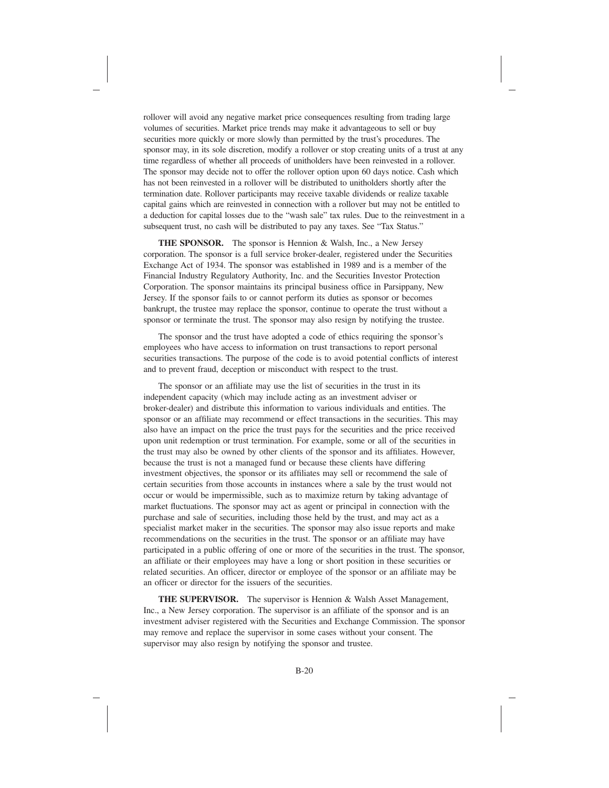rollover will avoid any negative market price consequences resulting from trading large volumes of securities. Market price trends may make it advantageous to sell or buy securities more quickly or more slowly than permitted by the trust's procedures. The sponsor may, in its sole discretion, modify a rollover or stop creating units of a trust at any time regardless of whether all proceeds of unitholders have been reinvested in a rollover. The sponsor may decide not to offer the rollover option upon 60 days notice. Cash which has not been reinvested in a rollover will be distributed to unitholders shortly after the termination date. Rollover participants may receive taxable dividends or realize taxable capital gains which are reinvested in connection with a rollover but may not be entitled to a deduction for capital losses due to the "wash sale" tax rules. Due to the reinvestment in a subsequent trust, no cash will be distributed to pay any taxes. See "Tax Status."

**THE SPONSOR.** The sponsor is Hennion & Walsh, Inc., a New Jersey corporation. The sponsor is a full service broker-dealer, registered under the Securities Exchange Act of 1934. The sponsor was established in 1989 and is a member of the Financial Industry Regulatory Authority, Inc. and the Securities Investor Protection Corporation. The sponsor maintains its principal business office in Parsippany, New Jersey. If the sponsor fails to or cannot perform its duties as sponsor or becomes bankrupt, the trustee may replace the sponsor, continue to operate the trust without a sponsor or terminate the trust. The sponsor may also resign by notifying the trustee.

The sponsor and the trust have adopted a code of ethics requiring the sponsor's employees who have access to information on trust transactions to report personal securities transactions. The purpose of the code is to avoid potential conflicts of interest and to prevent fraud, deception or misconduct with respect to the trust.

The sponsor or an affiliate may use the list of securities in the trust in its independent capacity (which may include acting as an investment adviser or broker-dealer) and distribute this information to various individuals and entities. The sponsor or an affiliate may recommend or effect transactions in the securities. This may also have an impact on the price the trust pays for the securities and the price received upon unit redemption or trust termination. For example, some or all of the securities in the trust may also be owned by other clients of the sponsor and its affiliates. However, because the trust is not a managed fund or because these clients have differing investment objectives, the sponsor or its affiliates may sell or recommend the sale of certain securities from those accounts in instances where a sale by the trust would not occur or would be impermissible, such as to maximize return by taking advantage of market fluctuations. The sponsor may act as agent or principal in connection with the purchase and sale of securities, including those held by the trust, and may act as a specialist market maker in the securities. The sponsor may also issue reports and make recommendations on the securities in the trust. The sponsor or an affiliate may have participated in a public offering of one or more of the securities in the trust. The sponsor, an affiliate or their employees may have a long or short position in these securities or related securities. An officer, director or employee of the sponsor or an affiliate may be an officer or director for the issuers of the securities.

**THE SUPERVISOR.** The supervisor is Hennion & Walsh Asset Management, Inc., a New Jersey corporation. The supervisor is an affiliate of the sponsor and is an investment adviser registered with the Securities and Exchange Commission. The sponsor may remove and replace the supervisor in some cases without your consent. The supervisor may also resign by notifying the sponsor and trustee.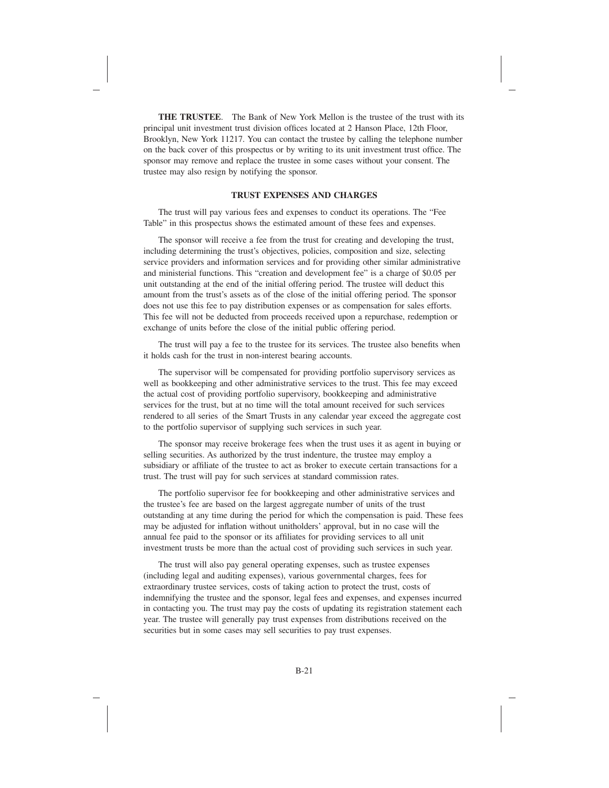**THE TRUSTEE.** The Bank of New York Mellon is the trustee of the trust with its principal unit investment trust division offices located at 2 Hanson Place, 12th Floor, Brooklyn, New York 11217. You can contact the trustee by calling the telephone number on the back cover of this prospectus or by writing to its unit investment trust office. The sponsor may remove and replace the trustee in some cases without your consent. The trustee may also resign by notifying the sponsor.

#### **TRUST EXPENSES AND CHARGES**

The trust will pay various fees and expenses to conduct its operations. The "Fee Table" in this prospectus shows the estimated amount of these fees and expenses.

The sponsor will receive a fee from the trust for creating and developing the trust, including determining the trust's objectives, policies, composition and size, selecting service providers and information services and for providing other similar administrative and ministerial functions. This "creation and development fee" is a charge of \$0.05 per unit outstanding at the end of the initial offering period. The trustee will deduct this amount from the trust's assets as of the close of the initial offering period. The sponsor does not use this fee to pay distribution expenses or as compensation for sales efforts. This fee will not be deducted from proceeds received upon a repurchase, redemption or exchange of units before the close of the initial public offering period.

The trust will pay a fee to the trustee for its services. The trustee also benefits when it holds cash for the trust in non-interest bearing accounts.

The supervisor will be compensated for providing portfolio supervisory services as well as bookkeeping and other administrative services to the trust. This fee may exceed the actual cost of providing portfolio supervisory, bookkeeping and administrative services for the trust, but at no time will the total amount received for such services rendered to all series of the Smart Trusts in any calendar year exceed the aggregate cost to the portfolio supervisor of supplying such services in such year.

The sponsor may receive brokerage fees when the trust uses it as agent in buying or selling securities. As authorized by the trust indenture, the trustee may employ a subsidiary or affiliate of the trustee to act as broker to execute certain transactions for a trust. The trust will pay for such services at standard commission rates.

The portfolio supervisor fee for bookkeeping and other administrative services and the trustee's fee are based on the largest aggregate number of units of the trust outstanding at any time during the period for which the compensation is paid. These fees may be adjusted for inflation without unitholders' approval, but in no case will the annual fee paid to the sponsor or its affiliates for providing services to all unit investment trusts be more than the actual cost of providing such services in such year.

The trust will also pay general operating expenses, such as trustee expenses (including legal and auditing expenses), various governmental charges, fees for extraordinary trustee services, costs of taking action to protect the trust, costs of indemnifying the trustee and the sponsor, legal fees and expenses, and expenses incurred in contacting you. The trust may pay the costs of updating its registration statement each year. The trustee will generally pay trust expenses from distributions received on the securities but in some cases may sell securities to pay trust expenses.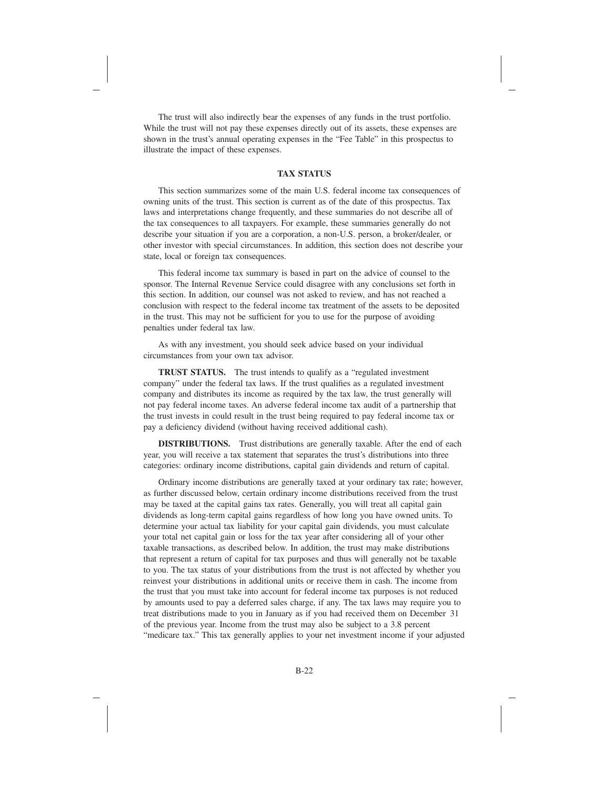The trust will also indirectly bear the expenses of any funds in the trust portfolio. While the trust will not pay these expenses directly out of its assets, these expenses are shown in the trust's annual operating expenses in the "Fee Table" in this prospectus to illustrate the impact of these expenses.

### **TAX STATUS**

This section summarizes some of the main U.S. federal income tax consequences of owning units of the trust. This section is current as of the date of this prospectus. Tax laws and interpretations change frequently, and these summaries do not describe all of the tax consequences to all taxpayers. For example, these summaries generally do not describe your situation if you are a corporation, a non-U.S. person, a broker/dealer, or other investor with special circumstances. In addition, this section does not describe your state, local or foreign tax consequences.

This federal income tax summary is based in part on the advice of counsel to the sponsor. The Internal Revenue Service could disagree with any conclusions set forth in this section. In addition, our counsel was not asked to review, and has not reached a conclusion with respect to the federal income tax treatment of the assets to be deposited in the trust. This may not be sufficient for you to use for the purpose of avoiding penalties under federal tax law.

As with any investment, you should seek advice based on your individual circumstances from your own tax advisor.

**TRUST STATUS.** The trust intends to qualify as a "regulated investment company" under the federal tax laws. If the trust qualifies as a regulated investment company and distributes its income as required by the tax law, the trust generally will not pay federal income taxes. An adverse federal income tax audit of a partnership that the trust invests in could result in the trust being required to pay federal income tax or pay a deficiency dividend (without having received additional cash).

**DISTRIBUTIONS.** Trust distributions are generally taxable. After the end of each year, you will receive a tax statement that separates the trust's distributions into three categories: ordinary income distributions, capital gain dividends and return of capital.

Ordinary income distributions are generally taxed at your ordinary tax rate; however, as further discussed below, certain ordinary income distributions received from the trust may be taxed at the capital gains tax rates. Generally, you will treat all capital gain dividends as long-term capital gains regardless of how long you have owned units. To determine your actual tax liability for your capital gain dividends, you must calculate your total net capital gain or loss for the tax year after considering all of your other taxable transactions, as described below. In addition, the trust may make distributions that represent a return of capital for tax purposes and thus will generally not be taxable to you. The tax status of your distributions from the trust is not affected by whether you reinvest your distributions in additional units or receive them in cash. The income from the trust that you must take into account for federal income tax purposes is not reduced by amounts used to pay a deferred sales charge, if any. The tax laws may require you to treat distributions made to you in January as if you had received them on December 31 of the previous year. Income from the trust may also be subject to a 3.8 percent "medicare tax." This tax generally applies to your net investment income if your adjusted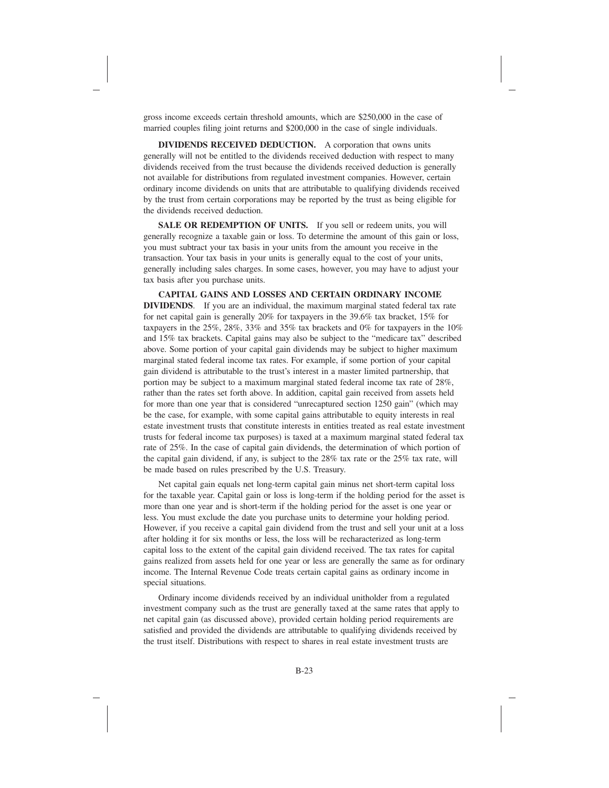gross income exceeds certain threshold amounts, which are \$250,000 in the case of married couples filing joint returns and \$200,000 in the case of single individuals.

**DIVIDENDS RECEIVED DEDUCTION.** A corporation that owns units generally will not be entitled to the dividends received deduction with respect to many dividends received from the trust because the dividends received deduction is generally not available for distributions from regulated investment companies. However, certain ordinary income dividends on units that are attributable to qualifying dividends received by the trust from certain corporations may be reported by the trust as being eligible for the dividends received deduction.

**SALE OR REDEMPTION OF UNITS.** If you sell or redeem units, you will generally recognize a taxable gain or loss. To determine the amount of this gain or loss, you must subtract your tax basis in your units from the amount you receive in the transaction. Your tax basis in your units is generally equal to the cost of your units, generally including sales charges. In some cases, however, you may have to adjust your tax basis after you purchase units.

**CAPITAL GAINS AND LOSSES AND CERTAIN ORDINARY INCOME DIVIDENDS**. If you are an individual, the maximum marginal stated federal tax rate for net capital gain is generally 20% for taxpayers in the 39.6% tax bracket, 15% for taxpayers in the 25%, 28%, 33% and 35% tax brackets and 0% for taxpayers in the 10% and 15% tax brackets. Capital gains may also be subject to the "medicare tax" described above. Some portion of your capital gain dividends may be subject to higher maximum marginal stated federal income tax rates. For example, if some portion of your capital gain dividend is attributable to the trust's interest in a master limited partnership, that portion may be subject to a maximum marginal stated federal income tax rate of 28%, rather than the rates set forth above. In addition, capital gain received from assets held for more than one year that is considered "unrecaptured section 1250 gain" (which may be the case, for example, with some capital gains attributable to equity interests in real estate investment trusts that constitute interests in entities treated as real estate investment trusts for federal income tax purposes) is taxed at a maximum marginal stated federal tax rate of 25%. In the case of capital gain dividends, the determination of which portion of the capital gain dividend, if any, is subject to the 28% tax rate or the 25% tax rate, will be made based on rules prescribed by the U.S. Treasury.

Net capital gain equals net long-term capital gain minus net short-term capital loss for the taxable year. Capital gain or loss is long-term if the holding period for the asset is more than one year and is short-term if the holding period for the asset is one year or less. You must exclude the date you purchase units to determine your holding period. However, if you receive a capital gain dividend from the trust and sell your unit at a loss after holding it for six months or less, the loss will be recharacterized as long-term capital loss to the extent of the capital gain dividend received. The tax rates for capital gains realized from assets held for one year or less are generally the same as for ordinary income. The Internal Revenue Code treats certain capital gains as ordinary income in special situations.

Ordinary income dividends received by an individual unitholder from a regulated investment company such as the trust are generally taxed at the same rates that apply to net capital gain (as discussed above), provided certain holding period requirements are satisfied and provided the dividends are attributable to qualifying dividends received by the trust itself. Distributions with respect to shares in real estate investment trusts are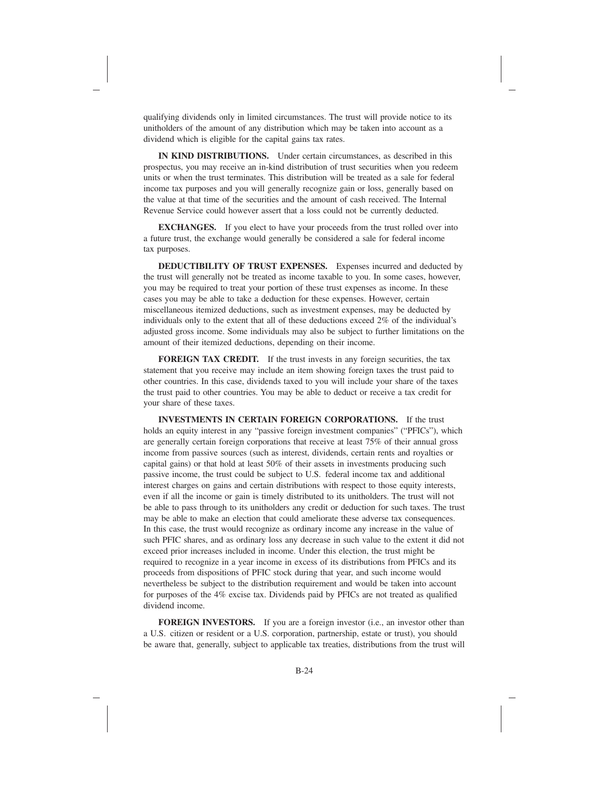qualifying dividends only in limited circumstances. The trust will provide notice to its unitholders of the amount of any distribution which may be taken into account as a dividend which is eligible for the capital gains tax rates.

**IN KIND DISTRIBUTIONS.** Under certain circumstances, as described in this prospectus, you may receive an in-kind distribution of trust securities when you redeem units or when the trust terminates. This distribution will be treated as a sale for federal income tax purposes and you will generally recognize gain or loss, generally based on the value at that time of the securities and the amount of cash received. The Internal Revenue Service could however assert that a loss could not be currently deducted.

**EXCHANGES.** If you elect to have your proceeds from the trust rolled over into a future trust, the exchange would generally be considered a sale for federal income tax purposes.

**DEDUCTIBILITY OF TRUST EXPENSES.** Expenses incurred and deducted by the trust will generally not be treated as income taxable to you. In some cases, however, you may be required to treat your portion of these trust expenses as income. In these cases you may be able to take a deduction for these expenses. However, certain miscellaneous itemized deductions, such as investment expenses, may be deducted by individuals only to the extent that all of these deductions exceed 2% of the individual's adjusted gross income. Some individuals may also be subject to further limitations on the amount of their itemized deductions, depending on their income.

**FOREIGN TAX CREDIT.** If the trust invests in any foreign securities, the tax statement that you receive may include an item showing foreign taxes the trust paid to other countries. In this case, dividends taxed to you will include your share of the taxes the trust paid to other countries. You may be able to deduct or receive a tax credit for your share of these taxes.

**INVESTMENTS IN CERTAIN FOREIGN CORPORATIONS.** If the trust holds an equity interest in any "passive foreign investment companies" ("PFICs"), which are generally certain foreign corporations that receive at least 75% of their annual gross income from passive sources (such as interest, dividends, certain rents and royalties or capital gains) or that hold at least 50% of their assets in investments producing such passive income, the trust could be subject to U.S. federal income tax and additional interest charges on gains and certain distributions with respect to those equity interests, even if all the income or gain is timely distributed to its unitholders. The trust will not be able to pass through to its unitholders any credit or deduction for such taxes. The trust may be able to make an election that could ameliorate these adverse tax consequences. In this case, the trust would recognize as ordinary income any increase in the value of such PFIC shares, and as ordinary loss any decrease in such value to the extent it did not exceed prior increases included in income. Under this election, the trust might be required to recognize in a year income in excess of its distributions from PFICs and its proceeds from dispositions of PFIC stock during that year, and such income would nevertheless be subject to the distribution requirement and would be taken into account for purposes of the 4% excise tax. Dividends paid by PFICs are not treated as qualified dividend income.

**FOREIGN INVESTORS.** If you are a foreign investor (i.e., an investor other than a U.S. citizen or resident or a U.S. corporation, partnership, estate or trust), you should be aware that, generally, subject to applicable tax treaties, distributions from the trust will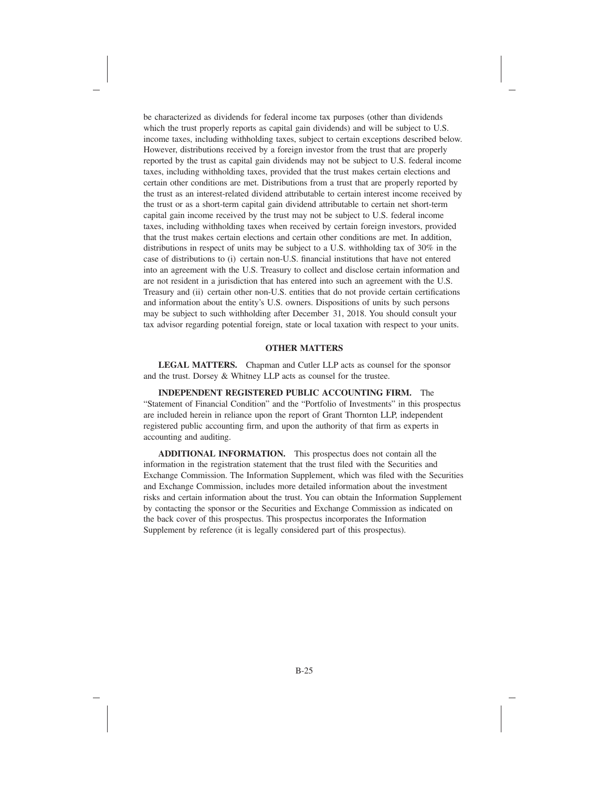be characterized as dividends for federal income tax purposes (other than dividends which the trust properly reports as capital gain dividends) and will be subject to U.S. income taxes, including withholding taxes, subject to certain exceptions described below. However, distributions received by a foreign investor from the trust that are properly reported by the trust as capital gain dividends may not be subject to U.S. federal income taxes, including withholding taxes, provided that the trust makes certain elections and certain other conditions are met. Distributions from a trust that are properly reported by the trust as an interest-related dividend attributable to certain interest income received by the trust or as a short-term capital gain dividend attributable to certain net short-term capital gain income received by the trust may not be subject to U.S. federal income taxes, including withholding taxes when received by certain foreign investors, provided that the trust makes certain elections and certain other conditions are met. In addition, distributions in respect of units may be subject to a U.S. withholding tax of 30% in the case of distributions to (i) certain non-U.S. financial institutions that have not entered into an agreement with the U.S. Treasury to collect and disclose certain information and are not resident in a jurisdiction that has entered into such an agreement with the U.S. Treasury and (ii) certain other non-U.S. entities that do not provide certain certifications and information about the entity's U.S. owners. Dispositions of units by such persons may be subject to such withholding after December 31, 2018. You should consult your tax advisor regarding potential foreign, state or local taxation with respect to your units.

### **OTHER MATTERS**

**LEGAL MATTERS.** Chapman and Cutler LLP acts as counsel for the sponsor and the trust. Dorsey & Whitney LLP acts as counsel for the trustee.

**INDEPENDENT REGISTERED PUBLIC ACCOUNTING FIRM.** The "Statement of Financial Condition" and the "Portfolio of Investments" in this prospectus are included herein in reliance upon the report of Grant Thornton LLP, independent registered public accounting firm, and upon the authority of that firm as experts in accounting and auditing.

**ADDITIONAL INFORMATION.** This prospectus does not contain all the information in the registration statement that the trust filed with the Securities and Exchange Commission. The Information Supplement, which was filed with the Securities and Exchange Commission, includes more detailed information about the investment risks and certain information about the trust. You can obtain the Information Supplement by contacting the sponsor or the Securities and Exchange Commission as indicated on the back cover of this prospectus. This prospectus incorporates the Information Supplement by reference (it is legally considered part of this prospectus).